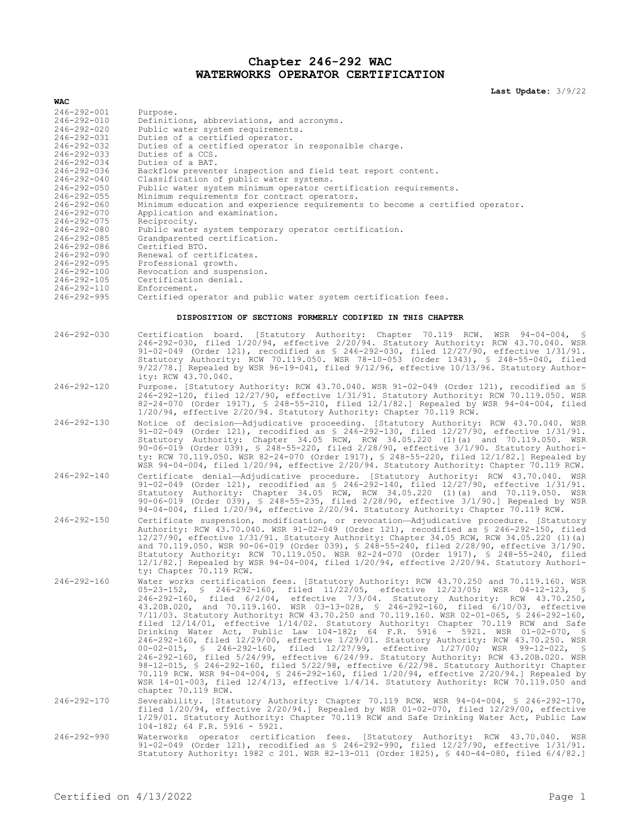## **Chapter 246-292 WAC WATERWORKS OPERATOR CERTIFICATION**

**Last Update:** 3/9/22

| WAC                                    |                                                                                                                                                                                                                                                                                                                                                                                                                                                                                                                                                                                                                                                                                                                                                                                                                                                                                                                                                                                                                                                                                                                                                                                                                      |
|----------------------------------------|----------------------------------------------------------------------------------------------------------------------------------------------------------------------------------------------------------------------------------------------------------------------------------------------------------------------------------------------------------------------------------------------------------------------------------------------------------------------------------------------------------------------------------------------------------------------------------------------------------------------------------------------------------------------------------------------------------------------------------------------------------------------------------------------------------------------------------------------------------------------------------------------------------------------------------------------------------------------------------------------------------------------------------------------------------------------------------------------------------------------------------------------------------------------------------------------------------------------|
| $246 - 292 - 001$                      | Purpose.                                                                                                                                                                                                                                                                                                                                                                                                                                                                                                                                                                                                                                                                                                                                                                                                                                                                                                                                                                                                                                                                                                                                                                                                             |
| $246 - 292 - 010$                      | Definitions, abbreviations, and acronyms.                                                                                                                                                                                                                                                                                                                                                                                                                                                                                                                                                                                                                                                                                                                                                                                                                                                                                                                                                                                                                                                                                                                                                                            |
| $246 - 292 - 020$<br>246-292-031       | Public water system requirements.<br>Duties of a certified operator.                                                                                                                                                                                                                                                                                                                                                                                                                                                                                                                                                                                                                                                                                                                                                                                                                                                                                                                                                                                                                                                                                                                                                 |
| 246-292-032                            | Duties of a certified operator in responsible charge.                                                                                                                                                                                                                                                                                                                                                                                                                                                                                                                                                                                                                                                                                                                                                                                                                                                                                                                                                                                                                                                                                                                                                                |
| $246 - 292 - 033$                      | Duties of a CCS.                                                                                                                                                                                                                                                                                                                                                                                                                                                                                                                                                                                                                                                                                                                                                                                                                                                                                                                                                                                                                                                                                                                                                                                                     |
| $246 - 292 - 034$                      | Duties of a BAT.<br>Backflow preventer inspection and field test report content.                                                                                                                                                                                                                                                                                                                                                                                                                                                                                                                                                                                                                                                                                                                                                                                                                                                                                                                                                                                                                                                                                                                                     |
| 246-292-036<br>$246 - 292 - 040$       | Classification of public water systems.                                                                                                                                                                                                                                                                                                                                                                                                                                                                                                                                                                                                                                                                                                                                                                                                                                                                                                                                                                                                                                                                                                                                                                              |
| $246 - 292 - 050$                      | Public water system minimum operator certification requirements.                                                                                                                                                                                                                                                                                                                                                                                                                                                                                                                                                                                                                                                                                                                                                                                                                                                                                                                                                                                                                                                                                                                                                     |
| $246 - 292 - 055$                      | Minimum requirements for contract operators.                                                                                                                                                                                                                                                                                                                                                                                                                                                                                                                                                                                                                                                                                                                                                                                                                                                                                                                                                                                                                                                                                                                                                                         |
| $246 - 292 - 060$<br>$246 - 292 - 070$ | Minimum education and experience requirements to become a certified operator.<br>Application and examination.                                                                                                                                                                                                                                                                                                                                                                                                                                                                                                                                                                                                                                                                                                                                                                                                                                                                                                                                                                                                                                                                                                        |
| $246 - 292 - 075$                      | Reciprocity.                                                                                                                                                                                                                                                                                                                                                                                                                                                                                                                                                                                                                                                                                                                                                                                                                                                                                                                                                                                                                                                                                                                                                                                                         |
| $246 - 292 - 080$                      | Public water system temporary operator certification.                                                                                                                                                                                                                                                                                                                                                                                                                                                                                                                                                                                                                                                                                                                                                                                                                                                                                                                                                                                                                                                                                                                                                                |
| $246 - 292 - 085$                      | Grandparented certification.<br>Certified BTO.                                                                                                                                                                                                                                                                                                                                                                                                                                                                                                                                                                                                                                                                                                                                                                                                                                                                                                                                                                                                                                                                                                                                                                       |
| 246-292-086<br>$246 - 292 - 090$       | Renewal of certificates.                                                                                                                                                                                                                                                                                                                                                                                                                                                                                                                                                                                                                                                                                                                                                                                                                                                                                                                                                                                                                                                                                                                                                                                             |
| $246 - 292 - 095$                      | Professional growth.                                                                                                                                                                                                                                                                                                                                                                                                                                                                                                                                                                                                                                                                                                                                                                                                                                                                                                                                                                                                                                                                                                                                                                                                 |
| $246 - 292 - 100$                      | Revocation and suspension.                                                                                                                                                                                                                                                                                                                                                                                                                                                                                                                                                                                                                                                                                                                                                                                                                                                                                                                                                                                                                                                                                                                                                                                           |
| $246 - 292 - 105$<br>246-292-110       | Certification denial.<br>Enforcement.                                                                                                                                                                                                                                                                                                                                                                                                                                                                                                                                                                                                                                                                                                                                                                                                                                                                                                                                                                                                                                                                                                                                                                                |
| 246-292-995                            | Certified operator and public water system certification fees.                                                                                                                                                                                                                                                                                                                                                                                                                                                                                                                                                                                                                                                                                                                                                                                                                                                                                                                                                                                                                                                                                                                                                       |
|                                        |                                                                                                                                                                                                                                                                                                                                                                                                                                                                                                                                                                                                                                                                                                                                                                                                                                                                                                                                                                                                                                                                                                                                                                                                                      |
|                                        | DISPOSITION OF SECTIONS FORMERLY CODIFIED IN THIS CHAPTER                                                                                                                                                                                                                                                                                                                                                                                                                                                                                                                                                                                                                                                                                                                                                                                                                                                                                                                                                                                                                                                                                                                                                            |
| $246 - 292 - 030$                      | Certification board. [Statutory Authority: Chapter 70.119 RCW. WSR 94-04-004, §<br>246-292-030, filed 1/20/94, effective 2/20/94. Statutory Authority: RCW 43.70.040. WSR<br>91-02-049 (Order 121), recodified as \$ 246-292-030, filed 12/27/90, effective 1/31/91.<br>Statutory Authority: RCW 70.119.050. WSR 78-10-053 (Order 1343), § 248-55-040, filed<br>$9/22/78$ .] Repealed by WSR 96-19-041, filed 9/12/96, effective 10/13/96. Statutory Author-                                                                                                                                                                                                                                                                                                                                                                                                                                                                                                                                                                                                                                                                                                                                                         |
| $246 - 292 - 120$                      | ity: RCW 43.70.040.<br>Purpose. [Statutory Authority: RCW 43.70.040. WSR 91-02-049 (Order 121), recodified as §                                                                                                                                                                                                                                                                                                                                                                                                                                                                                                                                                                                                                                                                                                                                                                                                                                                                                                                                                                                                                                                                                                      |
|                                        | 246-292-120, filed 12/27/90, effective 1/31/91. Statutory Authority: RCW 70.119.050. WSR<br>82-24-070 (Order 1917), § 248-55-210, filed $12/1/82$ .] Repealed by WSR 94-04-004, filed<br>1/20/94, effective 2/20/94. Statutory Authority: Chapter 70.119 RCW.                                                                                                                                                                                                                                                                                                                                                                                                                                                                                                                                                                                                                                                                                                                                                                                                                                                                                                                                                        |
| $246 - 292 - 130$                      | Notice of decision-Adjudicative proceeding. [Statutory Authority: RCW 43.70.040. WSR<br>91-02-049 (Order 121), recodified as \$ 246-292-130, filed 12/27/90, effective 1/31/91.<br>Statutory Authority: Chapter 34.05 RCW, RCW 34.05.220 (1)(a) and 70.119.050. WSR<br>90-06-019 (Order 039), \$ 248-55-220, filed $2/28/90$ , effective $3/1/90$ . Statutory Authori-<br>ty: RCW 70.119.050. WSR 82-24-070 (Order 1917), § 248-55-220, filed 12/1/82.] Repealed by<br>WSR 94-04-004, filed 1/20/94, effective 2/20/94. Statutory Authority: Chapter 70.119 RCW.                                                                                                                                                                                                                                                                                                                                                                                                                                                                                                                                                                                                                                                     |
| $246 - 292 - 140$                      | Certificate denial—Adjudicative procedure. [Statutory Authority: RCW 43.70.040. WSR<br>91-02-049 (Order 121), recodified as \$ 246-292-140, filed 12/27/90, effective 1/31/91.<br>Statutory Authority: Chapter 34.05 RCW, RCW 34.05.220 (1) (a) and 70.119.050. WSR<br>90-06-019 (Order 039), § 248-55-235, filed $2/28/90$ , effective $3/1/90$ .] Repealed by WSR<br>94-04-004, filed 1/20/94, effective 2/20/94. Statutory Authority: Chapter 70.119 RCW.                                                                                                                                                                                                                                                                                                                                                                                                                                                                                                                                                                                                                                                                                                                                                         |
| $246 - 292 - 150$                      | Certificate suspension, modification, or revocation-Adjudicative procedure. [Statutory<br>Authority: RCW 43.70.040. WSR 91-02-049 (Order 121), recodified as \$ 246-292-150, filed<br>$12/27/90$ , effective $1/31/91$ . Statutory Authority: Chapter 34.05 RCW, RCW 34.05.220 (1)(a)<br>and 70.119.050. WSR 90-06-019 (Order 039), § 248-55-240, filed 2/28/90, effective 3/1/90.<br>Statutory Authority: RCW 70.119.050. WSR 82-24-070 (Order 1917), § 248-55-240, filed<br>12/1/82.] Repealed by WSR 94-04-004, filed 1/20/94, effective 2/20/94. Statutory Authori-<br>ty: Chapter 70.119 RCW.                                                                                                                                                                                                                                                                                                                                                                                                                                                                                                                                                                                                                   |
| $246 - 292 - 160$                      | Water works certification fees. [Statutory Authority: RCW 43.70.250 and 70.119.160. WSR<br>05-23-152, § 246-292-160, filed 11/22/05, effective 12/23/05; WSR 04-12-123, §<br>246-292-160, filed 6/2/04, effective 7/3/04. Statutory Authority: RCW 43.70.250,<br>43.20B.020, and 70.119.160. WSR 03-13-028, § 246-292-160, filed 6/10/03, effective<br>7/11/03. Statutory Authority: RCW 43.70.250 and 70.119.160. WSR 02-01-065, § 246-292-160,<br>filed 12/14/01, effective 1/14/02. Statutory Authority: Chapter 70.119 RCW and Safe<br>Drinking Water Act, Public Law 104-182; 64 F.R. 5916 - 5921. WSR 01-02-070, \$<br>246-292-160, filed 12/29/00, effective 1/29/01. Statutory Authority: RCW 43.70.250. WSR<br>00-02-015, § 246-292-160, filed 12/27/99, effective 1/27/00; WSR 99-12-022, §<br>246-292-160, filed 5/24/99, effective 6/24/99. Statutory Authority: RCW 43.20B.020. WSR<br>98-12-015, § 246-292-160, filed 5/22/98, effective 6/22/98. Statutory Authority: Chapter<br>70.119 RCW. WSR 94-04-004, \$ 246-292-160, filed 1/20/94, effective 2/20/94.] Repealed by<br>WSR $14-01-003$ , filed $12/4/13$ , effective $1/4/14$ . Statutory Authority: RCW 70.119.050 and<br>chapter 70.119 RCW. |
| $246 - 292 - 170$                      | Severability. [Statutory Authority: Chapter 70.119 RCW. WSR 94-04-004, § 246-292-170,<br>filed $1/20/94$ , effective $2/20/94$ . Repealed by WSR 01-02-070, filed $12/29/00$ , effective<br>1/29/01. Statutory Authority: Chapter 70.119 RCW and Safe Drinking Water Act, Public Law<br>$104-182$ ; 64 F.R. 5916 - 5921.                                                                                                                                                                                                                                                                                                                                                                                                                                                                                                                                                                                                                                                                                                                                                                                                                                                                                             |
| $246 - 292 - 990$                      | Waterworks operator certification fees. [Statutory Authority: RCW 43.70.040. WSR<br>91-02-049 (Order 121), recodified as $$246-292-990$ , filed $12/27/90$ , effective $1/31/91$ .<br>Statutory Authority: 1982 c 201. WSR 82-13-011 (Order 1825), § 440-44-080, filed 6/4/82.]                                                                                                                                                                                                                                                                                                                                                                                                                                                                                                                                                                                                                                                                                                                                                                                                                                                                                                                                      |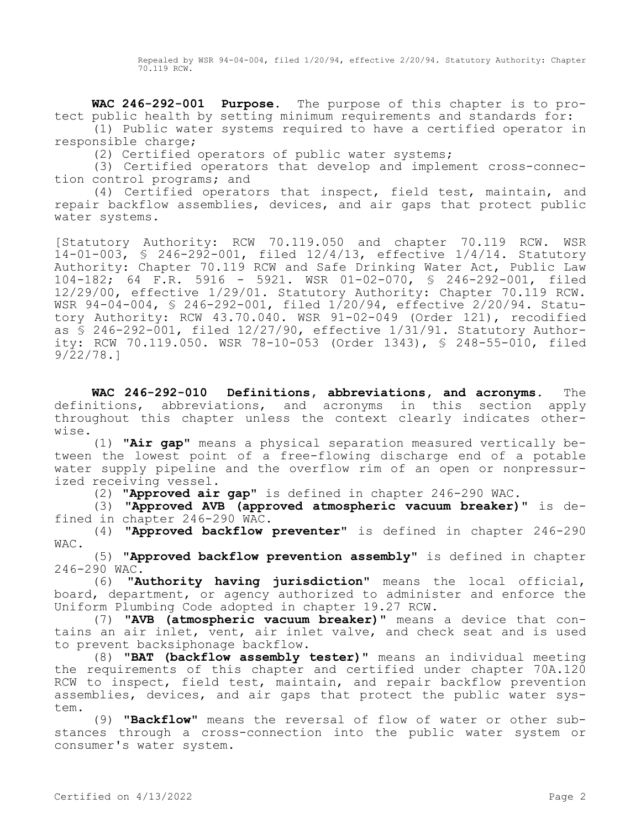Repealed by WSR 94-04-004, filed 1/20/94, effective 2/20/94. Statutory Authority: Chapter 70.119 RCW.

**WAC 246-292-001 Purpose.** The purpose of this chapter is to protect public health by setting minimum requirements and standards for:

(1) Public water systems required to have a certified operator in responsible charge;

(2) Certified operators of public water systems;

(3) Certified operators that develop and implement cross-connection control programs; and

(4) Certified operators that inspect, field test, maintain, and repair backflow assemblies, devices, and air gaps that protect public water systems.

[Statutory Authority: RCW 70.119.050 and chapter 70.119 RCW. WSR 14-01-003, § 246-292-001, filed 12/4/13, effective 1/4/14. Statutory Authority: Chapter 70.119 RCW and Safe Drinking Water Act, Public Law 104-182; 64 F.R. 5916 - 5921. WSR 01-02-070, § 246-292-001, filed 12/29/00, effective 1/29/01. Statutory Authority: Chapter 70.119 RCW. WSR 94-04-004, § 246-292-001, filed 1/20/94, effective 2/20/94. Statutory Authority: RCW 43.70.040. WSR 91-02-049 (Order 121), recodified as § 246-292-001, filed 12/27/90, effective 1/31/91. Statutory Authority: RCW 70.119.050. WSR 78-10-053 (Order 1343), § 248-55-010, filed 9/22/78.]

**WAC 246-292-010 Definitions, abbreviations, and acronyms.** The definitions, abbreviations, and acronyms in this section apply throughout this chapter unless the context clearly indicates otherwise.

(1) **"Air gap"** means a physical separation measured vertically between the lowest point of a free-flowing discharge end of a potable water supply pipeline and the overflow rim of an open or nonpressurized receiving vessel.

(2) **"Approved air gap"** is defined in chapter 246-290 WAC.

(3) **"Approved AVB (approved atmospheric vacuum breaker)"** is defined in chapter 246-290 WAC.

(4) **"Approved backflow preventer"** is defined in chapter 246-290 WAC.

(5) **"Approved backflow prevention assembly"** is defined in chapter 246-290 WAC.

(6) **"Authority having jurisdiction"** means the local official, board, department, or agency authorized to administer and enforce the Uniform Plumbing Code adopted in chapter 19.27 RCW.

(7) **"AVB (atmospheric vacuum breaker)"** means a device that contains an air inlet, vent, air inlet valve, and check seat and is used to prevent backsiphonage backflow.

(8) **"BAT (backflow assembly tester)"** means an individual meeting the requirements of this chapter and certified under chapter 70A.120 RCW to inspect, field test, maintain, and repair backflow prevention assemblies, devices, and air gaps that protect the public water system.

(9) **"Backflow"** means the reversal of flow of water or other substances through a cross-connection into the public water system or consumer's water system.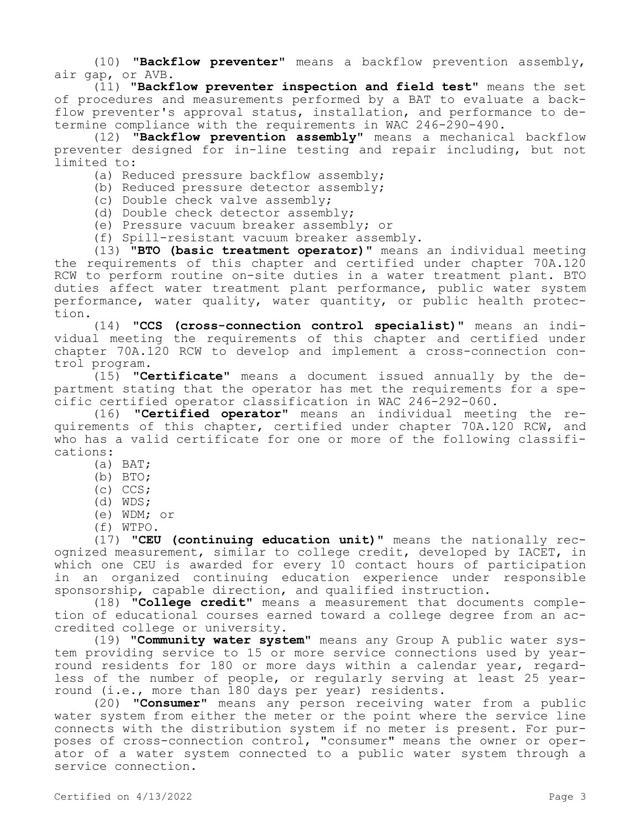(10) **"Backflow preventer"** means a backflow prevention assembly, air gap, or AVB.

(11) **"Backflow preventer inspection and field test"** means the set of procedures and measurements performed by a BAT to evaluate a backflow preventer's approval status, installation, and performance to determine compliance with the requirements in WAC 246-290-490.

(12) **"Backflow prevention assembly"** means a mechanical backflow preventer designed for in-line testing and repair including, but not limited to:

(a) Reduced pressure backflow assembly;

(b) Reduced pressure detector assembly;

- (c) Double check valve assembly;
- (d) Double check detector assembly;
- (e) Pressure vacuum breaker assembly; or

(f) Spill-resistant vacuum breaker assembly.

(13) **"BTO (basic treatment operator)"** means an individual meeting the requirements of this chapter and certified under chapter 70A.120 RCW to perform routine on-site duties in a water treatment plant. BTO duties affect water treatment plant performance, public water system performance, water quality, water quantity, or public health protection.

(14) **"CCS (cross-connection control specialist)"** means an individual meeting the requirements of this chapter and certified under chapter 70A.120 RCW to develop and implement a cross-connection control program.

(15) **"Certificate"** means a document issued annually by the department stating that the operator has met the requirements for a specific certified operator classification in WAC 246-292-060.

(16) **"Certified operator"** means an individual meeting the requirements of this chapter, certified under chapter 70A.120 RCW, and who has a valid certificate for one or more of the following classifications:

- (a) BAT;
- (b) BTO;
- (c) CCS;
- (d) WDS;
- (e) WDM; or
- (f) WTPO.

(17) **"CEU (continuing education unit)"** means the nationally recognized measurement, similar to college credit, developed by IACET, in which one CEU is awarded for every 10 contact hours of participation in an organized continuing education experience under responsible sponsorship, capable direction, and qualified instruction.

(18) **"College credit"** means a measurement that documents completion of educational courses earned toward a college degree from an accredited college or university.

(19) **"Community water system"** means any Group A public water system providing service to 15 or more service connections used by yearround residents for 180 or more days within a calendar year, regardless of the number of people, or regularly serving at least 25 yearround (i.e., more than 180 days per year) residents.

(20) **"Consumer"** means any person receiving water from a public water system from either the meter or the point where the service line connects with the distribution system if no meter is present. For purposes of cross-connection control, "consumer" means the owner or operator of a water system connected to a public water system through a service connection.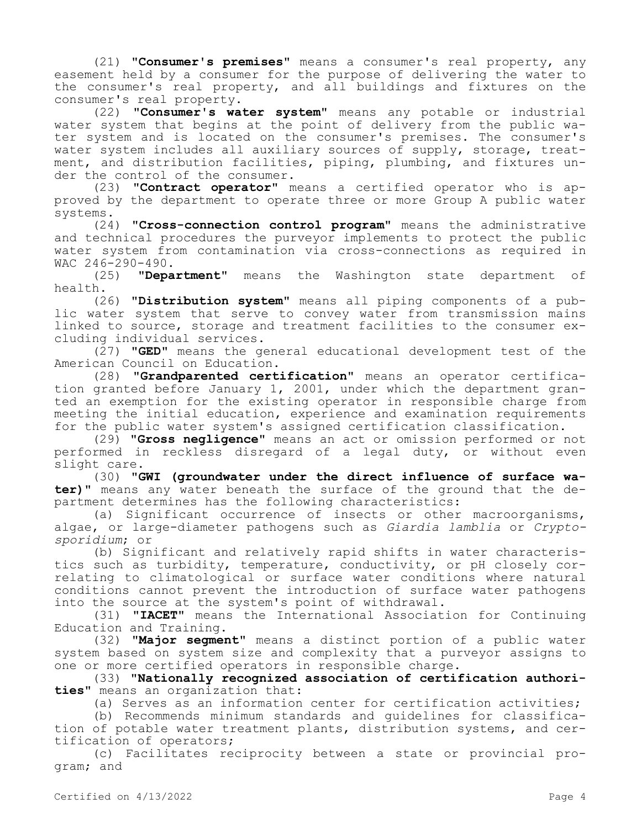(21) **"Consumer's premises"** means a consumer's real property, any easement held by a consumer for the purpose of delivering the water to the consumer's real property, and all buildings and fixtures on the consumer's real property.

(22) **"Consumer's water system"** means any potable or industrial water system that begins at the point of delivery from the public water system and is located on the consumer's premises. The consumer's water system includes all auxiliary sources of supply, storage, treatment, and distribution facilities, piping, plumbing, and fixtures under the control of the consumer.

(23) **"Contract operator"** means a certified operator who is approved by the department to operate three or more Group A public water systems.

(24) **"Cross-connection control program"** means the administrative and technical procedures the purveyor implements to protect the public water system from contamination via cross-connections as required in

WAC  $246-290-490$ .<br>(25) "Depa (25) **"Department"** means the Washington state department of health.

(26) **"Distribution system"** means all piping components of a public water system that serve to convey water from transmission mains linked to source, storage and treatment facilities to the consumer excluding individual services.

(27) **"GED"** means the general educational development test of the American Council on Education.

(28) **"Grandparented certification"** means an operator certification granted before January 1, 2001, under which the department granted an exemption for the existing operator in responsible charge from meeting the initial education, experience and examination requirements for the public water system's assigned certification classification.

(29) **"Gross negligence"** means an act or omission performed or not performed in reckless disregard of a legal duty, or without even slight care.

(30) **"GWI (groundwater under the direct influence of surface water)"** means any water beneath the surface of the ground that the department determines has the following characteristics:

(a) Significant occurrence of insects or other macroorganisms, algae, or large-diameter pathogens such as *Giardia lamblia* or *Cryptosporidium*; or

(b) Significant and relatively rapid shifts in water characteristics such as turbidity, temperature, conductivity, or pH closely correlating to climatological or surface water conditions where natural conditions cannot prevent the introduction of surface water pathogens into the source at the system's point of withdrawal.

(31) **"IACET"** means the International Association for Continuing Education and Training.

(32) **"Major segment"** means a distinct portion of a public water system based on system size and complexity that a purveyor assigns to one or more certified operators in responsible charge.

(33) **"Nationally recognized association of certification authorities"** means an organization that:

(a) Serves as an information center for certification activities;

(b) Recommends minimum standards and guidelines for classification of potable water treatment plants, distribution systems, and certification of operators;

(c) Facilitates reciprocity between a state or provincial program; and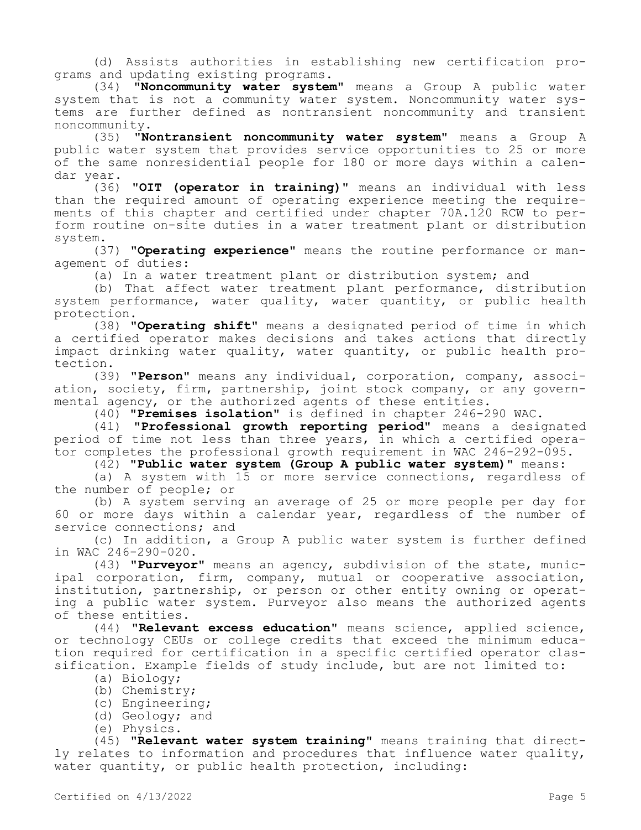(d) Assists authorities in establishing new certification programs and updating existing programs.

(34) **"Noncommunity water system"** means a Group A public water system that is not a community water system. Noncommunity water systems are further defined as nontransient noncommunity and transient noncommunity.

(35) **"Nontransient noncommunity water system"** means a Group A public water system that provides service opportunities to 25 or more of the same nonresidential people for 180 or more days within a calendar year.

(36) **"OIT (operator in training)"** means an individual with less than the required amount of operating experience meeting the requirements of this chapter and certified under chapter 70A.120 RCW to perform routine on-site duties in a water treatment plant or distribution system.

(37) **"Operating experience"** means the routine performance or management of duties:

(a) In a water treatment plant or distribution system; and

(b) That affect water treatment plant performance, distribution system performance, water quality, water quantity, or public health protection.

(38) **"Operating shift"** means a designated period of time in which a certified operator makes decisions and takes actions that directly impact drinking water quality, water quantity, or public health protection.

(39) **"Person"** means any individual, corporation, company, association, society, firm, partnership, joint stock company, or any governmental agency, or the authorized agents of these entities.

(40) **"Premises isolation"** is defined in chapter 246-290 WAC.

(41) **"Professional growth reporting period"** means a designated period of time not less than three years, in which a certified operator completes the professional growth requirement in WAC 246-292-095.

(42) **"Public water system (Group A public water system)"** means:

(a) A system with 15 or more service connections, regardless of the number of people; or

(b) A system serving an average of 25 or more people per day for 60 or more days within a calendar year, regardless of the number of service connections; and

(c) In addition, a Group A public water system is further defined in WAC 246-290-020.

(43) **"Purveyor"** means an agency, subdivision of the state, municipal corporation, firm, company, mutual or cooperative association, institution, partnership, or person or other entity owning or operating a public water system. Purveyor also means the authorized agents of these entities.

(44) **"Relevant excess education"** means science, applied science, or technology CEUs or college credits that exceed the minimum education required for certification in a specific certified operator classification. Example fields of study include, but are not limited to:

- (a) Biology;
- (b) Chemistry;
- (c) Engineering;
- (d) Geology; and
- (e) Physics.

(45) **"Relevant water system training"** means training that directly relates to information and procedures that influence water quality, water quantity, or public health protection, including: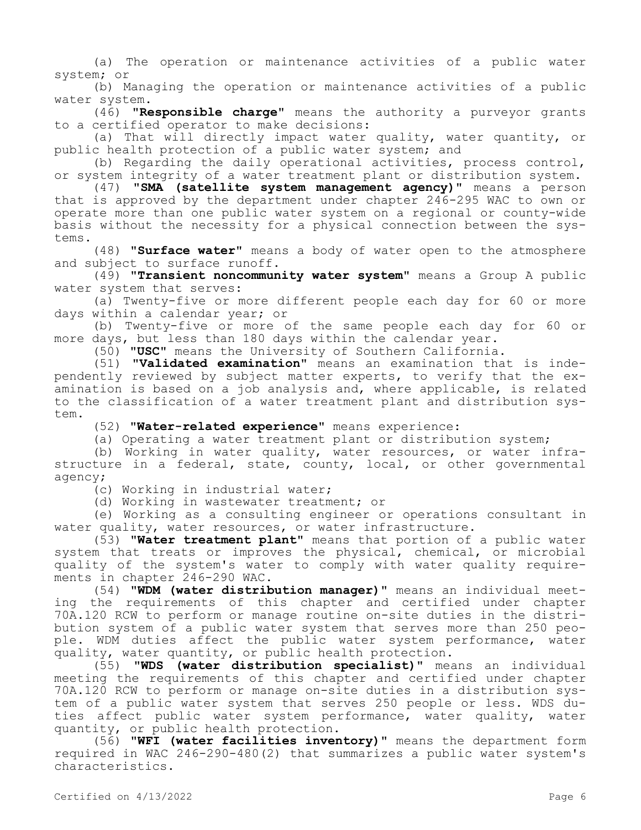(a) The operation or maintenance activities of a public water system; or

(b) Managing the operation or maintenance activities of a public water system.

(46) **"Responsible charge"** means the authority a purveyor grants to a certified operator to make decisions:

(a) That will directly impact water quality, water quantity, or public health protection of a public water system; and

(b) Regarding the daily operational activities, process control, or system integrity of a water treatment plant or distribution system.

(47) **"SMA (satellite system management agency)"** means a person that is approved by the department under chapter 246-295 WAC to own or operate more than one public water system on a regional or county-wide basis without the necessity for a physical connection between the systems.

(48) **"Surface water"** means a body of water open to the atmosphere and subject to surface runoff.

(49) **"Transient noncommunity water system"** means a Group A public water system that serves:

(a) Twenty-five or more different people each day for 60 or more days within a calendar year; or

(b) Twenty-five or more of the same people each day for 60 or more days, but less than 180 days within the calendar year.

(50) **"USC"** means the University of Southern California.

(51) **"Validated examination"** means an examination that is independently reviewed by subject matter experts, to verify that the examination is based on a job analysis and, where applicable, is related to the classification of a water treatment plant and distribution system.

(52) **"Water-related experience"** means experience:

(a) Operating a water treatment plant or distribution system;

(b) Working in water quality, water resources, or water infrastructure in a federal, state, county, local, or other governmental agency;

(c) Working in industrial water;

(d) Working in wastewater treatment; or

(e) Working as a consulting engineer or operations consultant in water quality, water resources, or water infrastructure.

(53) **"Water treatment plant"** means that portion of a public water system that treats or improves the physical, chemical, or microbial quality of the system's water to comply with water quality requirements in chapter 246-290 WAC.

(54) **"WDM (water distribution manager)"** means an individual meeting the requirements of this chapter and certified under chapter 70A.120 RCW to perform or manage routine on-site duties in the distribution system of a public water system that serves more than 250 people. WDM duties affect the public water system performance, water quality, water quantity, or public health protection.

(55) **"WDS (water distribution specialist)"** means an individual meeting the requirements of this chapter and certified under chapter 70A.120 RCW to perform or manage on-site duties in a distribution system of a public water system that serves 250 people or less. WDS duties affect public water system performance, water quality, water quantity, or public health protection.

(56) **"WFI (water facilities inventory)"** means the department form required in WAC 246-290-480(2) that summarizes a public water system's characteristics.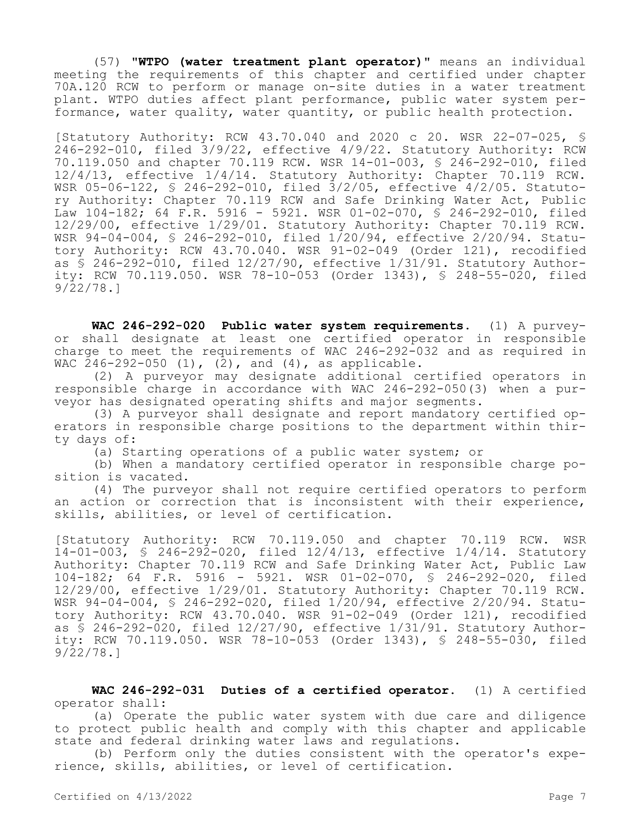(57) **"WTPO (water treatment plant operator)"** means an individual meeting the requirements of this chapter and certified under chapter 70A.120 RCW to perform or manage on-site duties in a water treatment plant. WTPO duties affect plant performance, public water system performance, water quality, water quantity, or public health protection.

[Statutory Authority: RCW 43.70.040 and 2020 c 20. WSR 22-07-025, § 246-292-010, filed 3/9/22, effective 4/9/22. Statutory Authority: RCW 70.119.050 and chapter 70.119 RCW. WSR 14-01-003, § 246-292-010, filed 12/4/13, effective 1/4/14. Statutory Authority: Chapter 70.119 RCW. WSR 05-06-122, § 246-292-010, filed 3/2/05, effective 4/2/05. Statutory Authority: Chapter 70.119 RCW and Safe Drinking Water Act, Public Law 104-182; 64 F.R. 5916 - 5921. WSR 01-02-070, § 246-292-010, filed 12/29/00, effective 1/29/01. Statutory Authority: Chapter 70.119 RCW. WSR 94-04-004, § 246-292-010, filed 1/20/94, effective 2/20/94. Statutory Authority: RCW 43.70.040. WSR 91-02-049 (Order 121), recodified as § 246-292-010, filed 12/27/90, effective 1/31/91. Statutory Authority: RCW 70.119.050. WSR 78-10-053 (Order 1343), § 248-55-020, filed 9/22/78.]

**WAC 246-292-020 Public water system requirements.** (1) A purveyor shall designate at least one certified operator in responsible charge to meet the requirements of WAC 246-292-032 and as required in WAC 246-292-050 (1), (2), and (4), as applicable.

(2) A purveyor may designate additional certified operators in responsible charge in accordance with WAC 246-292-050(3) when a purveyor has designated operating shifts and major segments.

(3) A purveyor shall designate and report mandatory certified operators in responsible charge positions to the department within thirty days of:

(a) Starting operations of a public water system; or

(b) When a mandatory certified operator in responsible charge position is vacated.

(4) The purveyor shall not require certified operators to perform an action or correction that is inconsistent with their experience, skills, abilities, or level of certification.

[Statutory Authority: RCW 70.119.050 and chapter 70.119 RCW. WSR 14-01-003, § 246-292-020, filed 12/4/13, effective 1/4/14. Statutory Authority: Chapter 70.119 RCW and Safe Drinking Water Act, Public Law 104-182; 64 F.R. 5916 - 5921. WSR 01-02-070, § 246-292-020, filed 12/29/00, effective 1/29/01. Statutory Authority: Chapter 70.119 RCW. WSR 94-04-004, § 246-292-020, filed 1/20/94, effective 2/20/94. Statutory Authority: RCW 43.70.040. WSR 91-02-049 (Order 121), recodified as § 246-292-020, filed 12/27/90, effective 1/31/91. Statutory Authority: RCW 70.119.050. WSR 78-10-053 (Order 1343), § 248-55-030, filed 9/22/78.]

## **WAC 246-292-031 Duties of a certified operator.** (1) A certified operator shall:

(a) Operate the public water system with due care and diligence to protect public health and comply with this chapter and applicable state and federal drinking water laws and regulations.

(b) Perform only the duties consistent with the operator's experience, skills, abilities, or level of certification.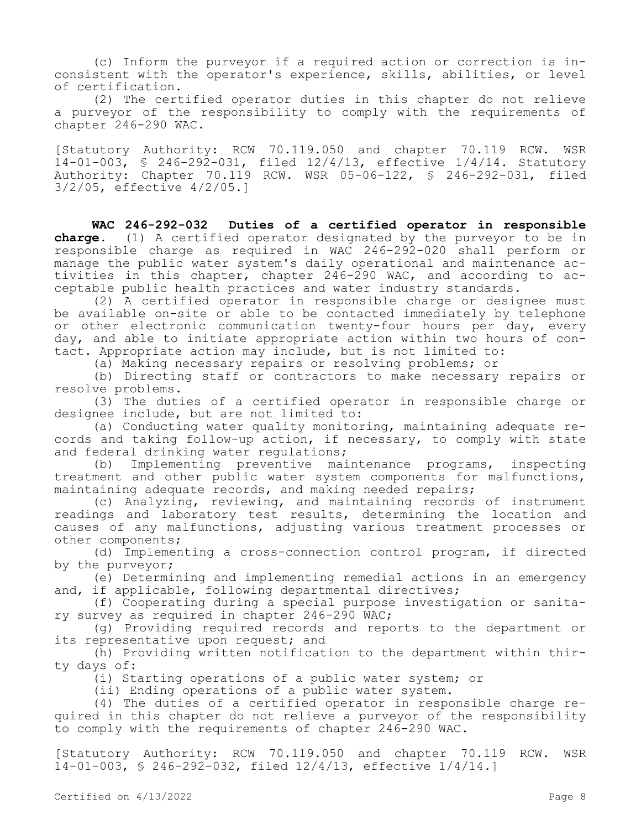(c) Inform the purveyor if a required action or correction is inconsistent with the operator's experience, skills, abilities, or level of certification.

(2) The certified operator duties in this chapter do not relieve a purveyor of the responsibility to comply with the requirements of chapter 246-290 WAC.

[Statutory Authority: RCW 70.119.050 and chapter 70.119 RCW. WSR 14-01-003, § 246-292-031, filed 12/4/13, effective 1/4/14. Statutory Authority: Chapter 70.119 RCW. WSR 05-06-122, § 246-292-031, filed 3/2/05, effective 4/2/05.]

**WAC 246-292-032 Duties of a certified operator in responsible charge.** (1) A certified operator designated by the purveyor to be in responsible charge as required in WAC 246-292-020 shall perform or manage the public water system's daily operational and maintenance activities in this chapter, chapter 246-290 WAC, and according to acceptable public health practices and water industry standards.

(2) A certified operator in responsible charge or designee must be available on-site or able to be contacted immediately by telephone or other electronic communication twenty-four hours per day, every day, and able to initiate appropriate action within two hours of contact. Appropriate action may include, but is not limited to:

(a) Making necessary repairs or resolving problems; or

(b) Directing staff or contractors to make necessary repairs or resolve problems.

(3) The duties of a certified operator in responsible charge or designee include, but are not limited to:

(a) Conducting water quality monitoring, maintaining adequate records and taking follow-up action, if necessary, to comply with state and federal drinking water regulations;

(b) Implementing preventive maintenance programs, inspecting treatment and other public water system components for malfunctions, maintaining adequate records, and making needed repairs;

(c) Analyzing, reviewing, and maintaining records of instrument readings and laboratory test results, determining the location and causes of any malfunctions, adjusting various treatment processes or other components;

(d) Implementing a cross-connection control program, if directed by the purveyor;

(e) Determining and implementing remedial actions in an emergency and, if applicable, following departmental directives;

(f) Cooperating during a special purpose investigation or sanitary survey as required in chapter 246-290 WAC;

(g) Providing required records and reports to the department or its representative upon request; and

(h) Providing written notification to the department within thirty days of:

(i) Starting operations of a public water system; or

(ii) Ending operations of a public water system.

(4) The duties of a certified operator in responsible charge required in this chapter do not relieve a purveyor of the responsibility to comply with the requirements of chapter 246-290 WAC.

[Statutory Authority: RCW 70.119.050 and chapter 70.119 RCW. WSR 14-01-003, § 246-292-032, filed 12/4/13, effective 1/4/14.]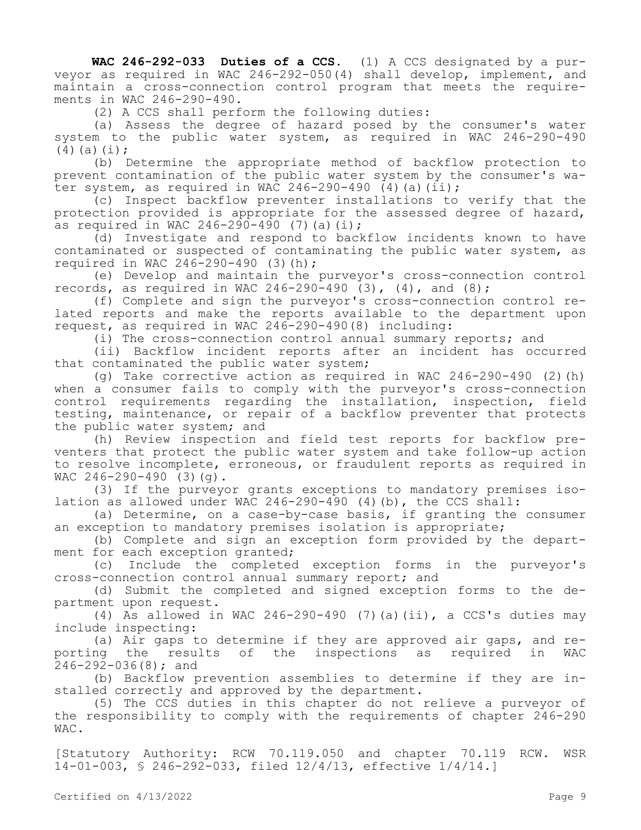**WAC 246-292-033 Duties of a CCS.** (1) A CCS designated by a purveyor as required in WAC 246-292-050(4) shall develop, implement, and maintain a cross-connection control program that meets the requirements in WAC 246-290-490.

(2) A CCS shall perform the following duties:

(a) Assess the degree of hazard posed by the consumer's water system to the public water system, as required in WAC 246-290-490  $(4)(a)(i);$ 

(b) Determine the appropriate method of backflow protection to prevent contamination of the public water system by the consumer's water system, as required in WAC 246-290-490  $(4)$  (a)(ii);

(c) Inspect backflow preventer installations to verify that the protection provided is appropriate for the assessed degree of hazard, as required in WAC 246-290-490 (7) (a)(i);

(d) Investigate and respond to backflow incidents known to have contaminated or suspected of contaminating the public water system, as required in WAC 246-290-490 (3)(h);

(e) Develop and maintain the purveyor's cross-connection control records, as required in WAC 246-290-490  $(3)$ ,  $(4)$ , and  $(8)$ ;

(f) Complete and sign the purveyor's cross-connection control related reports and make the reports available to the department upon request, as required in WAC 246-290-490(8) including:

(i) The cross-connection control annual summary reports; and

(ii) Backflow incident reports after an incident has occurred that contaminated the public water system;

(g) Take corrective action as required in WAC 246-290-490 (2)(h) when a consumer fails to comply with the purveyor's cross-connection control requirements regarding the installation, inspection, field testing, maintenance, or repair of a backflow preventer that protects the public water system; and

(h) Review inspection and field test reports for backflow preventers that protect the public water system and take follow-up action to resolve incomplete, erroneous, or fraudulent reports as required in WAC  $246 - 290 - 490$  (3)(q).

(3) If the purveyor grants exceptions to mandatory premises isolation as allowed under WAC 246-290-490 (4)(b), the CCS shall:

(a) Determine, on a case-by-case basis, if granting the consumer an exception to mandatory premises isolation is appropriate;

(b) Complete and sign an exception form provided by the department for each exception granted;

(c) Include the completed exception forms in the purveyor's cross-connection control annual summary report; and

(d) Submit the completed and signed exception forms to the department upon request.

(4) As allowed in WAC  $246-290-490$  (7)(a)(ii), a CCS's duties may include inspecting:

(a) Air gaps to determine if they are approved air gaps, and reporting the results of the inspections as required in WAC 246-292-036(8); and

(b) Backflow prevention assemblies to determine if they are installed correctly and approved by the department.

(5) The CCS duties in this chapter do not relieve a purveyor of the responsibility to comply with the requirements of chapter 246-290 WAC.

[Statutory Authority: RCW 70.119.050 and chapter 70.119 RCW. WSR 14-01-003, § 246-292-033, filed 12/4/13, effective 1/4/14.]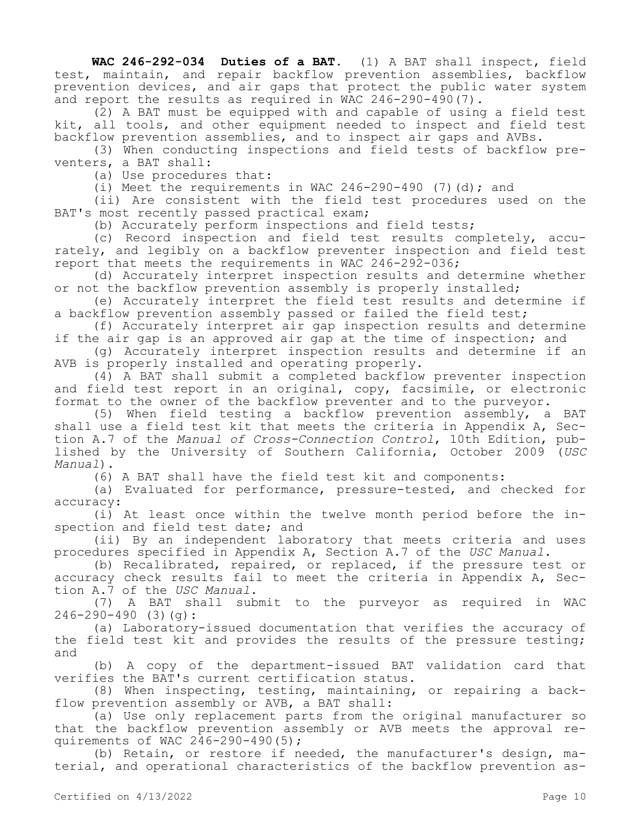**WAC 246-292-034 Duties of a BAT.** (1) A BAT shall inspect, field test, maintain, and repair backflow prevention assemblies, backflow prevention devices, and air gaps that protect the public water system and report the results as required in WAC 246-290-490(7).

(2) A BAT must be equipped with and capable of using a field test kit, all tools, and other equipment needed to inspect and field test backflow prevention assemblies, and to inspect air gaps and AVBs.

(3) When conducting inspections and field tests of backflow preventers, a BAT shall:

(a) Use procedures that:

(i) Meet the requirements in WAC  $246 - 290 - 490$  (7)(d); and

(ii) Are consistent with the field test procedures used on the BAT's most recently passed practical exam;

(b) Accurately perform inspections and field tests;

(c) Record inspection and field test results completely, accurately, and legibly on a backflow preventer inspection and field test report that meets the requirements in WAC 246-292-036;

(d) Accurately interpret inspection results and determine whether or not the backflow prevention assembly is properly installed;

(e) Accurately interpret the field test results and determine if a backflow prevention assembly passed or failed the field test;

(f) Accurately interpret air gap inspection results and determine if the air gap is an approved air gap at the time of inspection; and

(g) Accurately interpret inspection results and determine if an AVB is properly installed and operating properly.

(4) A BAT shall submit a completed backflow preventer inspection and field test report in an original, copy, facsimile, or electronic format to the owner of the backflow preventer and to the purveyor.

(5) When field testing a backflow prevention assembly, a BAT shall use a field test kit that meets the criteria in Appendix A, Section A.7 of the *Manual of Cross-Connection Control*, 10th Edition, published by the University of Southern California, October 2009 (*USC Manual*).

(6) A BAT shall have the field test kit and components:

(a) Evaluated for performance, pressure-tested, and checked for accuracy:

(i) At least once within the twelve month period before the inspection and field test date; and

(ii) By an independent laboratory that meets criteria and uses procedures specified in Appendix A, Section A.7 of the *USC Manual*.

(b) Recalibrated, repaired, or replaced, if the pressure test or accuracy check results fail to meet the criteria in Appendix A, Section A.7 of the *USC Manual*.

(7) A BAT shall submit to the purveyor as required in WAC  $246 - 290 - 490$  (3)(q):

(a) Laboratory-issued documentation that verifies the accuracy of the field test kit and provides the results of the pressure testing; and

(b) A copy of the department-issued BAT validation card that verifies the BAT's current certification status.

(8) When inspecting, testing, maintaining, or repairing a backflow prevention assembly or AVB, a BAT shall:

(a) Use only replacement parts from the original manufacturer so that the backflow prevention assembly or AVB meets the approval requirements of WAC 246-290-490(5);

(b) Retain, or restore if needed, the manufacturer's design, material, and operational characteristics of the backflow prevention as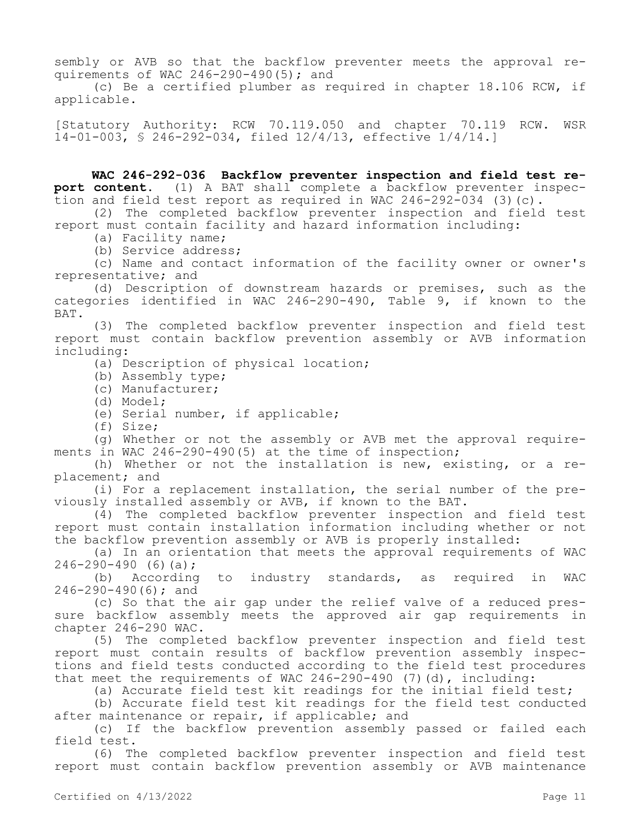sembly or AVB so that the backflow preventer meets the approval requirements of WAC 246-290-490(5); and

(c) Be a certified plumber as required in chapter 18.106 RCW, if applicable.

[Statutory Authority: RCW 70.119.050 and chapter 70.119 RCW. WSR 14-01-003, § 246-292-034, filed 12/4/13, effective 1/4/14.]

**WAC 246-292-036 Backflow preventer inspection and field test report content.** (1) A BAT shall complete a backflow preventer inspection and field test report as required in WAC 246-292-034 (3)(c).

(2) The completed backflow preventer inspection and field test report must contain facility and hazard information including:

(a) Facility name;

(b) Service address;

(c) Name and contact information of the facility owner or owner's representative; and

(d) Description of downstream hazards or premises, such as the categories identified in WAC 246-290-490, Table 9, if known to the BAT.

(3) The completed backflow preventer inspection and field test report must contain backflow prevention assembly or AVB information including:

(a) Description of physical location;

(b) Assembly type;

(c) Manufacturer;

(d) Model;

(e) Serial number, if applicable;

(f) Size;

(g) Whether or not the assembly or AVB met the approval requirements in WAC 246-290-490(5) at the time of inspection;

(h) Whether or not the installation is new, existing, or a replacement; and

(i) For a replacement installation, the serial number of the previously installed assembly or AVB, if known to the BAT.

(4) The completed backflow preventer inspection and field test report must contain installation information including whether or not the backflow prevention assembly or AVB is properly installed:

(a) In an orientation that meets the approval requirements of WAC  $246 - 290 - 490$  (6)(a);

(b) According to industry standards, as required in WAC 246-290-490(6); and

(c) So that the air gap under the relief valve of a reduced pressure backflow assembly meets the approved air gap requirements in chapter 246-290 WAC.

(5) The completed backflow preventer inspection and field test report must contain results of backflow prevention assembly inspections and field tests conducted according to the field test procedures that meet the requirements of WAC  $246 - 290 - 490$  (7)(d), including:

(a) Accurate field test kit readings for the initial field test;

(b) Accurate field test kit readings for the field test conducted after maintenance or repair, if applicable; and

(c) If the backflow prevention assembly passed or failed each field test.

(6) The completed backflow preventer inspection and field test report must contain backflow prevention assembly or AVB maintenance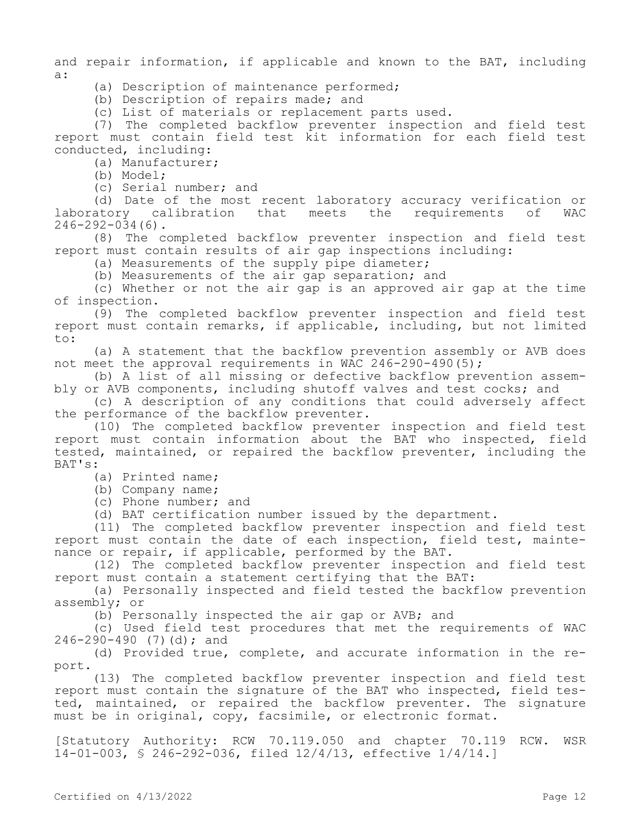and repair information, if applicable and known to the BAT, including a:

(a) Description of maintenance performed;

(b) Description of repairs made; and

(c) List of materials or replacement parts used.

(7) The completed backflow preventer inspection and field test report must contain field test kit information for each field test conducted, including:

(a) Manufacturer;

(b) Model;

(c) Serial number; and

(d) Date of the most recent laboratory accuracy verification or<br>atory calibration that meets the requirements of WAC laboratory calibration that meets the requirements of WAC  $246 - 292 - 034(6)$ .

(8) The completed backflow preventer inspection and field test report must contain results of air gap inspections including:

(a) Measurements of the supply pipe diameter;

(b) Measurements of the air gap separation; and

(c) Whether or not the air gap is an approved air gap at the time of inspection.

(9) The completed backflow preventer inspection and field test report must contain remarks, if applicable, including, but not limited to:

(a) A statement that the backflow prevention assembly or AVB does not meet the approval requirements in WAC 246-290-490(5);

(b) A list of all missing or defective backflow prevention assembly or AVB components, including shutoff valves and test cocks; and

(c) A description of any conditions that could adversely affect the performance of the backflow preventer.

(10) The completed backflow preventer inspection and field test report must contain information about the BAT who inspected, field tested, maintained, or repaired the backflow preventer, including the BAT's:

(a) Printed name;

(b) Company name;

(c) Phone number; and

(d) BAT certification number issued by the department.

(11) The completed backflow preventer inspection and field test report must contain the date of each inspection, field test, maintenance or repair, if applicable, performed by the BAT.

(12) The completed backflow preventer inspection and field test report must contain a statement certifying that the BAT:

(a) Personally inspected and field tested the backflow prevention assembly; or

(b) Personally inspected the air gap or AVB; and

(c) Used field test procedures that met the requirements of WAC 246-290-490 (7)(d); and

(d) Provided true, complete, and accurate information in the report.

(13) The completed backflow preventer inspection and field test report must contain the signature of the BAT who inspected, field tested, maintained, or repaired the backflow preventer. The signature must be in original, copy, facsimile, or electronic format.

[Statutory Authority: RCW 70.119.050 and chapter 70.119 RCW. WSR 14-01-003, § 246-292-036, filed 12/4/13, effective 1/4/14.]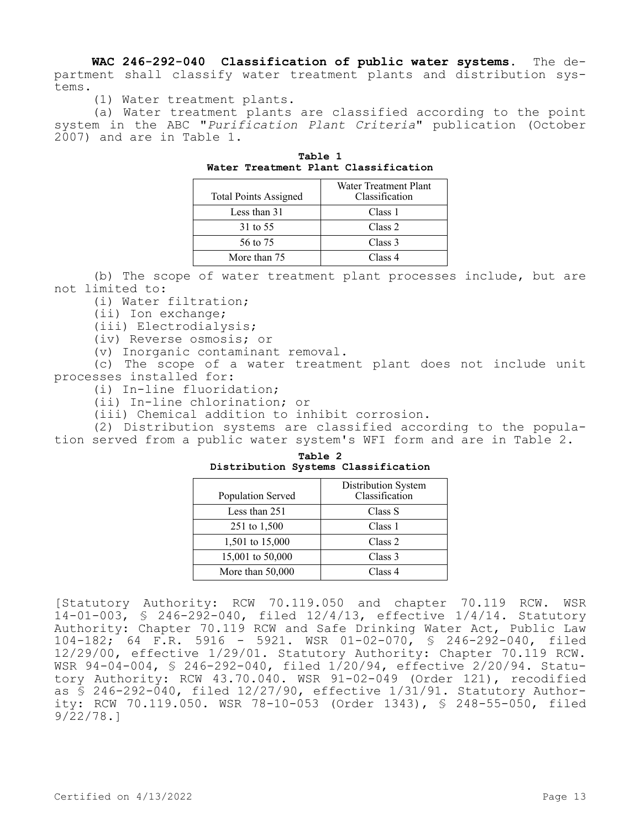**WAC 246-292-040 Classification of public water systems.** The department shall classify water treatment plants and distribution systems.

(1) Water treatment plants.

(a) Water treatment plants are classified according to the point system in the ABC "*Purification Plant Criteria*" publication (October 2007) and are in Table 1.

| <b>Total Points Assigned</b> | Water Treatment Plant<br>Classification |
|------------------------------|-----------------------------------------|
| Less than 31                 | Class 1                                 |
| 31 to 55                     | Class 2                                 |
| 56 to 75                     | Class 3                                 |
| More than 75                 | Class 4                                 |

**Table 1 Water Treatment Plant Classification**

(b) The scope of water treatment plant processes include, but are not limited to:

(i) Water filtration;

(ii) Ion exchange;

(iii) Electrodialysis;

(iv) Reverse osmosis; or

(v) Inorganic contaminant removal.

(c) The scope of a water treatment plant does not include unit processes installed for:

(i) In-line fluoridation;

(ii) In-line chlorination; or

(iii) Chemical addition to inhibit corrosion.

(2) Distribution systems are classified according to the population served from a public water system's WFI form and are in Table 2.

**Table 2 Distribution Systems Classification**

| Population Served  | Distribution System<br>Classification |
|--------------------|---------------------------------------|
| Less than 251      | Class S                               |
| 251 to 1,500       | Class 1                               |
| 1,501 to 15,000    | Class <sub>2</sub>                    |
| 15,001 to 50,000   | Class 3                               |
| More than $50,000$ | Class 4                               |

[Statutory Authority: RCW 70.119.050 and chapter 70.119 RCW. WSR 14-01-003, § 246-292-040, filed 12/4/13, effective 1/4/14. Statutory Authority: Chapter 70.119 RCW and Safe Drinking Water Act, Public Law 104-182; 64 F.R. 5916 - 5921. WSR 01-02-070, § 246-292-040, filed 12/29/00, effective 1/29/01. Statutory Authority: Chapter 70.119 RCW. WSR 94-04-004, § 246-292-040, filed 1/20/94, effective 2/20/94. Statutory Authority: RCW 43.70.040. WSR 91-02-049 (Order 121), recodified as § 246-292-040, filed 12/27/90, effective 1/31/91. Statutory Authority: RCW 70.119.050. WSR 78-10-053 (Order 1343), § 248-55-050, filed 9/22/78.]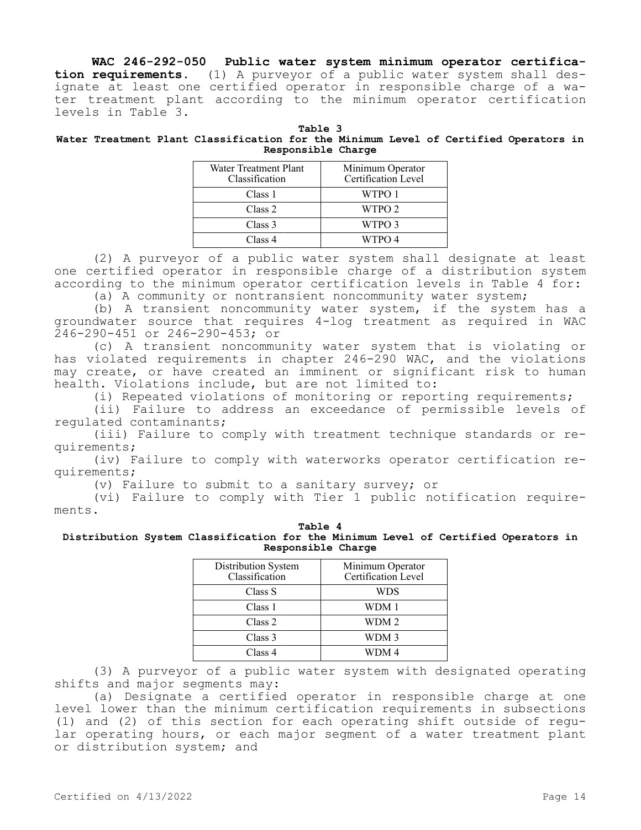**WAC 246-292-050 Public water system minimum operator certification requirements.** (1) A purveyor of a public water system shall designate at least one certified operator in responsible charge of a water treatment plant according to the minimum operator certification levels in Table 3.

| Table 3 |  |                                                                                      |  |  |                    |  |  |  |
|---------|--|--------------------------------------------------------------------------------------|--|--|--------------------|--|--|--|
|         |  | Water Treatment Plant Classification for the Minimum Level of Certified Operators in |  |  |                    |  |  |  |
|         |  |                                                                                      |  |  | Responsible Charge |  |  |  |

| Water Treatment Plant<br>Classification | Minimum Operator<br>Certification Level |
|-----------------------------------------|-----------------------------------------|
| Class 1                                 | WTPO 1                                  |
| Class 2                                 | WTPO 2                                  |
| Class 3                                 | WTPO 3                                  |
| Class 4                                 | WTPO 4                                  |

(2) A purveyor of a public water system shall designate at least one certified operator in responsible charge of a distribution system according to the minimum operator certification levels in Table 4 for:

(a) A community or nontransient noncommunity water system;

(b) A transient noncommunity water system, if the system has a groundwater source that requires 4-log treatment as required in WAC 246-290-451 or 246-290-453; or

(c) A transient noncommunity water system that is violating or has violated requirements in chapter 246-290 WAC, and the violations may create, or have created an imminent or significant risk to human health. Violations include, but are not limited to:

(i) Repeated violations of monitoring or reporting requirements;

(ii) Failure to address an exceedance of permissible levels of regulated contaminants;

(iii) Failure to comply with treatment technique standards or requirements;

(iv) Failure to comply with waterworks operator certification requirements;

(v) Failure to submit to a sanitary survey; or

(vi) Failure to comply with Tier 1 public notification requirements.

## **Table 4 Distribution System Classification for the Minimum Level of Certified Operators in Responsible Charge**

| Distribution System<br>Classification | Minimum Operator<br>Certification Level |
|---------------------------------------|-----------------------------------------|
| Class S                               | WDS                                     |
| Class 1                               | WDM 1                                   |
| Class 2                               | WDM 2                                   |
| Class 3                               | WDM 3                                   |
| Class 4                               | WDM 4                                   |

(3) A purveyor of a public water system with designated operating shifts and major segments may:

(a) Designate a certified operator in responsible charge at one level lower than the minimum certification requirements in subsections (1) and (2) of this section for each operating shift outside of regular operating hours, or each major segment of a water treatment plant or distribution system; and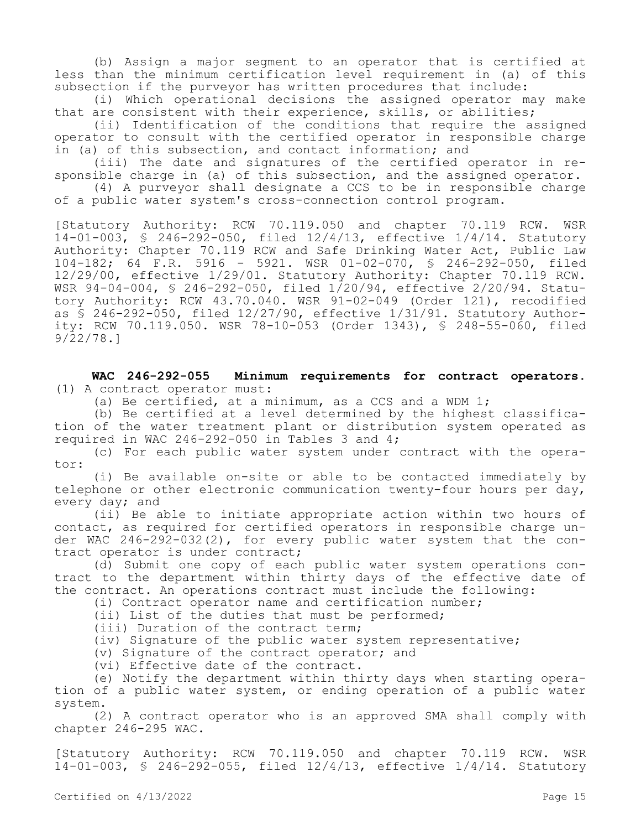(b) Assign a major segment to an operator that is certified at less than the minimum certification level requirement in (a) of this subsection if the purveyor has written procedures that include:

(i) Which operational decisions the assigned operator may make that are consistent with their experience, skills, or abilities;

(ii) Identification of the conditions that require the assigned operator to consult with the certified operator in responsible charge in (a) of this subsection, and contact information; and

(iii) The date and signatures of the certified operator in responsible charge in (a) of this subsection, and the assigned operator.

(4) A purveyor shall designate a CCS to be in responsible charge of a public water system's cross-connection control program.

[Statutory Authority: RCW 70.119.050 and chapter 70.119 RCW. WSR 14-01-003, § 246-292-050, filed 12/4/13, effective 1/4/14. Statutory Authority: Chapter 70.119 RCW and Safe Drinking Water Act, Public Law 104-182; 64 F.R. 5916 - 5921. WSR 01-02-070, § 246-292-050, filed 12/29/00, effective 1/29/01. Statutory Authority: Chapter 70.119 RCW. WSR 94-04-004, § 246-292-050, filed 1/20/94, effective 2/20/94. Statutory Authority: RCW 43.70.040. WSR 91-02-049 (Order 121), recodified as § 246-292-050, filed 12/27/90, effective 1/31/91. Statutory Authority: RCW 70.119.050. WSR 78-10-053 (Order 1343), § 248-55-060, filed 9/22/78.]

**WAC 246-292-055 Minimum requirements for contract operators.**  (1) A contract operator must:

(a) Be certified, at a minimum, as a CCS and a WDM 1;

(b) Be certified at a level determined by the highest classification of the water treatment plant or distribution system operated as required in WAC 246-292-050 in Tables 3 and 4;

(c) For each public water system under contract with the operator:

(i) Be available on-site or able to be contacted immediately by telephone or other electronic communication twenty-four hours per day, every day; and

(ii) Be able to initiate appropriate action within two hours of contact, as required for certified operators in responsible charge under WAC 246-292-032(2), for every public water system that the contract operator is under contract;

(d) Submit one copy of each public water system operations contract to the department within thirty days of the effective date of the contract. An operations contract must include the following:

(i) Contract operator name and certification number;

(ii) List of the duties that must be performed;

(iii) Duration of the contract term;

(iv) Signature of the public water system representative;

(v) Signature of the contract operator; and

(vi) Effective date of the contract.

(e) Notify the department within thirty days when starting operation of a public water system, or ending operation of a public water system.

(2) A contract operator who is an approved SMA shall comply with chapter 246-295 WAC.

[Statutory Authority: RCW 70.119.050 and chapter 70.119 RCW. WSR 14-01-003, § 246-292-055, filed 12/4/13, effective 1/4/14. Statutory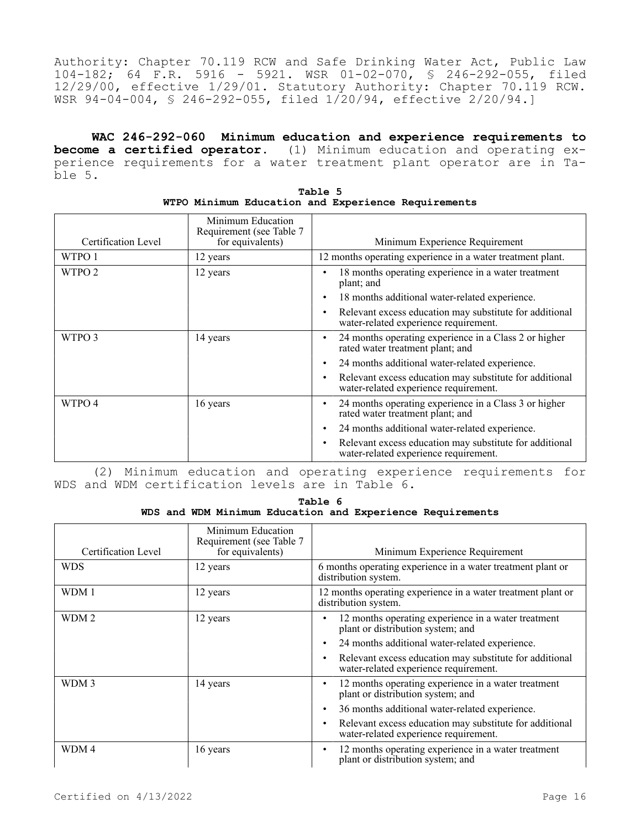Authority: Chapter 70.119 RCW and Safe Drinking Water Act, Public Law 104-182; 64 F.R. 5916 - 5921. WSR 01-02-070, § 246-292-055, filed 12/29/00, effective 1/29/01. Statutory Authority: Chapter 70.119 RCW. WSR 94-04-004, § 246-292-055, filed 1/20/94, effective 2/20/94.]

**WAC 246-292-060 Minimum education and experience requirements to become a certified operator.** (1) Minimum education and operating experience requirements for a water treatment plant operator are in Table 5.

| Certification Level | Minimum Education<br>Requirement (see Table 7<br>for equivalents) | Minimum Experience Requirement                                                                   |
|---------------------|-------------------------------------------------------------------|--------------------------------------------------------------------------------------------------|
| WTPO 1              | 12 years                                                          | 12 months operating experience in a water treatment plant.                                       |
| WTPO <sub>2</sub>   | 12 years                                                          | 18 months operating experience in a water treatment<br>plant; and                                |
|                     |                                                                   | 18 months additional water-related experience.                                                   |
|                     |                                                                   | Relevant excess education may substitute for additional<br>water-related experience requirement. |
| WTPO 3              | 14 years                                                          | 24 months operating experience in a Class 2 or higher<br>rated water treatment plant; and        |
|                     |                                                                   | 24 months additional water-related experience.<br>٠                                              |
|                     |                                                                   | Relevant excess education may substitute for additional<br>water-related experience requirement. |
| WTPO 4              | 16 years                                                          | 24 months operating experience in a Class 3 or higher<br>rated water treatment plant; and        |
|                     |                                                                   | 24 months additional water-related experience.                                                   |
|                     |                                                                   | Relevant excess education may substitute for additional<br>water-related experience requirement. |

| Table 5 |  |  |  |  |                                                    |
|---------|--|--|--|--|----------------------------------------------------|
|         |  |  |  |  | WTPO Minimum Education and Experience Requirements |

(2) Minimum education and operating experience requirements for WDS and WDM certification levels are in Table 6.

**Table 6 WDS and WDM Minimum Education and Experience Requirements**

| Certification Level | Minimum Education<br>Requirement (see Table 7<br>for equivalents) | Minimum Experience Requirement                                                                   |
|---------------------|-------------------------------------------------------------------|--------------------------------------------------------------------------------------------------|
| <b>WDS</b>          | 12 years                                                          | 6 months operating experience in a water treatment plant or<br>distribution system.              |
| WDM 1               | 12 years                                                          | 12 months operating experience in a water treatment plant or<br>distribution system.             |
| WDM <sub>2</sub>    | 12 years                                                          | 12 months operating experience in a water treatment<br>plant or distribution system; and         |
|                     |                                                                   | 24 months additional water-related experience.                                                   |
|                     |                                                                   | Relevant excess education may substitute for additional<br>water-related experience requirement. |
| WDM 3               | 14 years                                                          | 12 months operating experience in a water treatment<br>plant or distribution system; and         |
|                     |                                                                   | 36 months additional water-related experience.                                                   |
|                     |                                                                   | Relevant excess education may substitute for additional<br>water-related experience requirement. |
| WDM 4               | 16 years                                                          | 12 months operating experience in a water treatment<br>plant or distribution system; and         |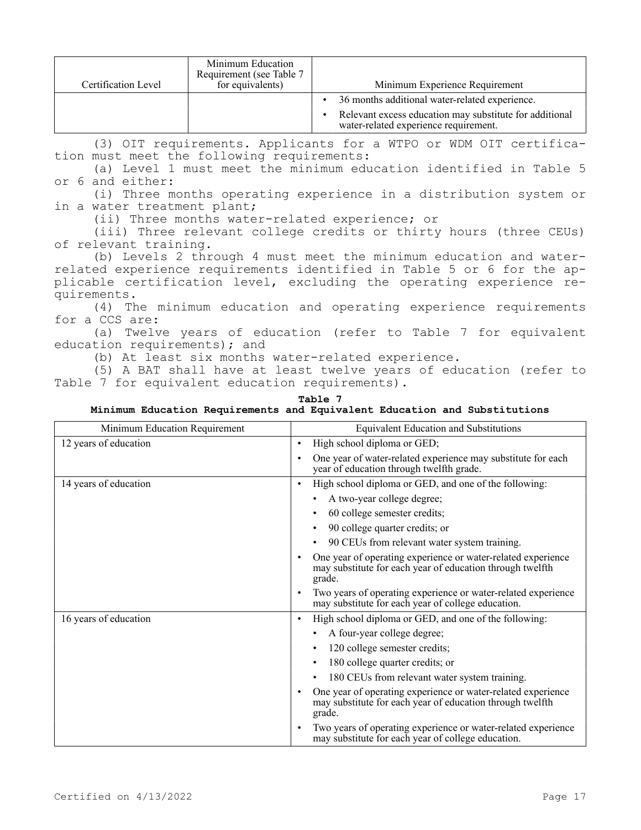| Certification Level | Minimum Education<br>Requirement (see Table 7<br>for equivalents) | Minimum Experience Requirement                                                                                                                     |
|---------------------|-------------------------------------------------------------------|----------------------------------------------------------------------------------------------------------------------------------------------------|
|                     |                                                                   | 36 months additional water-related experience.<br>Relevant excess education may substitute for additional<br>water-related experience requirement. |

(3) OIT requirements. Applicants for a WTPO or WDM OIT certification must meet the following requirements:

(a) Level 1 must meet the minimum education identified in Table 5 or 6 and either:

(i) Three months operating experience in a distribution system or in a water treatment plant;

(ii) Three months water-related experience; or

(iii) Three relevant college credits or thirty hours (three CEUs) of relevant training.

(b) Levels 2 through 4 must meet the minimum education and waterrelated experience requirements identified in Table 5 or 6 for the applicable certification level, excluding the operating experience requirements.

(4) The minimum education and operating experience requirements for a CCS are:

(a) Twelve years of education (refer to Table 7 for equivalent education requirements); and

(b) At least six months water-related experience.

(5) A BAT shall have at least twelve years of education (refer to Table 7 for equivalent education requirements).

| Table 7                                                                   |  |  |  |  |  |  |
|---------------------------------------------------------------------------|--|--|--|--|--|--|
| Minimum Education Requirements and Equivalent Education and Substitutions |  |  |  |  |  |  |

| Minimum Education Requirement | <b>Equivalent Education and Substitutions</b>                                                                                                    |
|-------------------------------|--------------------------------------------------------------------------------------------------------------------------------------------------|
| 12 years of education         | High school diploma or GED;<br>$\bullet$                                                                                                         |
|                               | One year of water-related experience may substitute for each<br>$\bullet$<br>year of education through twelfth grade.                            |
| 14 years of education         | High school diploma or GED, and one of the following:<br>$\bullet$                                                                               |
|                               | A two-year college degree;                                                                                                                       |
|                               | 60 college semester credits;                                                                                                                     |
|                               | 90 college quarter credits; or<br>٠                                                                                                              |
|                               | 90 CEUs from relevant water system training.<br>$\bullet$                                                                                        |
|                               | One year of operating experience or water-related experience<br>$\bullet$<br>may substitute for each year of education through twelfth<br>grade. |
|                               | Two years of operating experience or water-related experience<br>$\bullet$<br>may substitute for each year of college education.                 |
| 16 years of education         | High school diploma or GED, and one of the following:<br>$\bullet$                                                                               |
|                               | A four-year college degree;                                                                                                                      |
|                               | 120 college semester credits;<br>$\bullet$                                                                                                       |
|                               | 180 college quarter credits; or                                                                                                                  |
|                               | 180 CEUs from relevant water system training.                                                                                                    |
|                               | One year of operating experience or water-related experience<br>$\bullet$<br>may substitute for each year of education through twelfth<br>grade. |
|                               | Two years of operating experience or water-related experience<br>$\bullet$<br>may substitute for each year of college education.                 |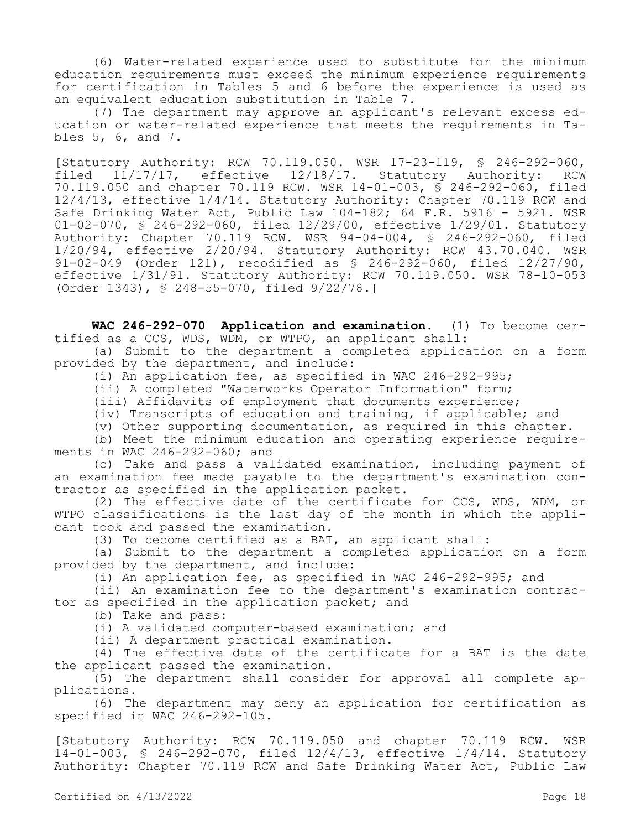(6) Water-related experience used to substitute for the minimum education requirements must exceed the minimum experience requirements for certification in Tables 5 and 6 before the experience is used as an equivalent education substitution in Table 7.

(7) The department may approve an applicant's relevant excess education or water-related experience that meets the requirements in Tables 5, 6, and 7.

[Statutory Authority: RCW 70.119.050. WSR 17-23-119, § 246-292-060, filed 11/17/17, effective 12/18/17. Statutory Authority: RCW 70.119.050 and chapter 70.119 RCW. WSR 14-01-003, § 246-292-060, filed 12/4/13, effective 1/4/14. Statutory Authority: Chapter 70.119 RCW and Safe Drinking Water Act, Public Law 104-182; 64 F.R. 5916 - 5921. WSR 01-02-070, § 246-292-060, filed 12/29/00, effective 1/29/01. Statutory Authority: Chapter 70.119 RCW. WSR 94-04-004, § 246-292-060, filed 1/20/94, effective 2/20/94. Statutory Authority: RCW 43.70.040. WSR 91-02-049 (Order 121), recodified as § 246-292-060, filed 12/27/90, effective 1/31/91. Statutory Authority: RCW 70.119.050. WSR 78-10-053 (Order 1343), § 248-55-070, filed 9/22/78.]

**WAC 246-292-070 Application and examination.** (1) To become certified as a CCS, WDS, WDM, or WTPO, an applicant shall:

(a) Submit to the department a completed application on a form provided by the department, and include:

(i) An application fee, as specified in WAC 246-292-995;

(ii) A completed "Waterworks Operator Information" form;

(iii) Affidavits of employment that documents experience;

(iv) Transcripts of education and training, if applicable; and

(v) Other supporting documentation, as required in this chapter.

(b) Meet the minimum education and operating experience requirements in WAC 246-292-060; and

(c) Take and pass a validated examination, including payment of an examination fee made payable to the department's examination contractor as specified in the application packet.

(2) The effective date of the certificate for CCS, WDS, WDM, or WTPO classifications is the last day of the month in which the applicant took and passed the examination.

(3) To become certified as a BAT, an applicant shall:

(a) Submit to the department a completed application on a form provided by the department, and include:

(i) An application fee, as specified in WAC 246-292-995; and

(ii) An examination fee to the department's examination contractor as specified in the application packet; and

(b) Take and pass:

(i) A validated computer-based examination; and

(ii) A department practical examination.

(4) The effective date of the certificate for a BAT is the date the applicant passed the examination.

(5) The department shall consider for approval all complete applications.

(6) The department may deny an application for certification as specified in WAC 246-292-105.

[Statutory Authority: RCW 70.119.050 and chapter 70.119 RCW. WSR 14-01-003, § 246-292-070, filed 12/4/13, effective 1/4/14. Statutory Authority: Chapter 70.119 RCW and Safe Drinking Water Act, Public Law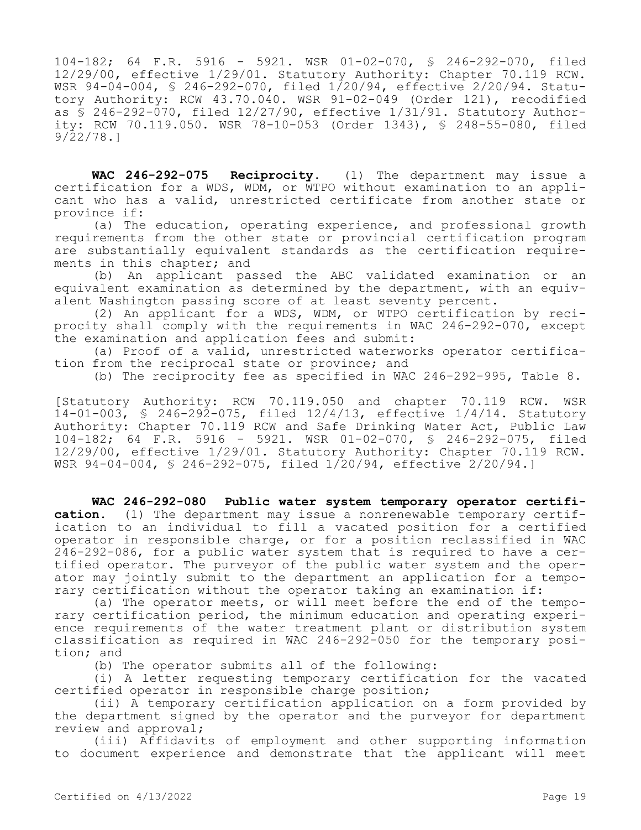104-182; 64 F.R. 5916 - 5921. WSR 01-02-070, § 246-292-070, filed 12/29/00, effective 1/29/01. Statutory Authority: Chapter 70.119 RCW. WSR 94-04-004, § 246-292-070, filed 1/20/94, effective 2/20/94. Statutory Authority: RCW 43.70.040. WSR 91-02-049 (Order 121), recodified as § 246-292-070, filed 12/27/90, effective 1/31/91. Statutory Authority: RCW 70.119.050. WSR 78-10-053 (Order 1343), § 248-55-080, filed 9/22/78.]

**WAC 246-292-075 Reciprocity.** (1) The department may issue a certification for a WDS, WDM, or WTPO without examination to an applicant who has a valid, unrestricted certificate from another state or province if:

(a) The education, operating experience, and professional growth requirements from the other state or provincial certification program are substantially equivalent standards as the certification requirements in this chapter; and

(b) An applicant passed the ABC validated examination or an equivalent examination as determined by the department, with an equivalent Washington passing score of at least seventy percent.

(2) An applicant for a WDS, WDM, or WTPO certification by reciprocity shall comply with the requirements in WAC 246-292-070, except the examination and application fees and submit:

(a) Proof of a valid, unrestricted waterworks operator certification from the reciprocal state or province; and

(b) The reciprocity fee as specified in WAC 246-292-995, Table 8.

[Statutory Authority: RCW 70.119.050 and chapter 70.119 RCW. WSR 14-01-003, § 246-292-075, filed 12/4/13, effective 1/4/14. Statutory Authority: Chapter 70.119 RCW and Safe Drinking Water Act, Public Law 104-182; 64 F.R. 5916 - 5921. WSR 01-02-070, § 246-292-075, filed 12/29/00, effective 1/29/01. Statutory Authority: Chapter 70.119 RCW. WSR 94-04-004, § 246-292-075, filed 1/20/94, effective 2/20/94.]

**WAC 246-292-080 Public water system temporary operator certification.** (1) The department may issue a nonrenewable temporary certification to an individual to fill a vacated position for a certified operator in responsible charge, or for a position reclassified in WAC 246-292-086, for a public water system that is required to have a certified operator. The purveyor of the public water system and the operator may jointly submit to the department an application for a temporary certification without the operator taking an examination if:

(a) The operator meets, or will meet before the end of the temporary certification period, the minimum education and operating experience requirements of the water treatment plant or distribution system classification as required in WAC 246-292-050 for the temporary position; and

(b) The operator submits all of the following:

(i) A letter requesting temporary certification for the vacated certified operator in responsible charge position;

(ii) A temporary certification application on a form provided by the department signed by the operator and the purveyor for department review and approval;

(iii) Affidavits of employment and other supporting information to document experience and demonstrate that the applicant will meet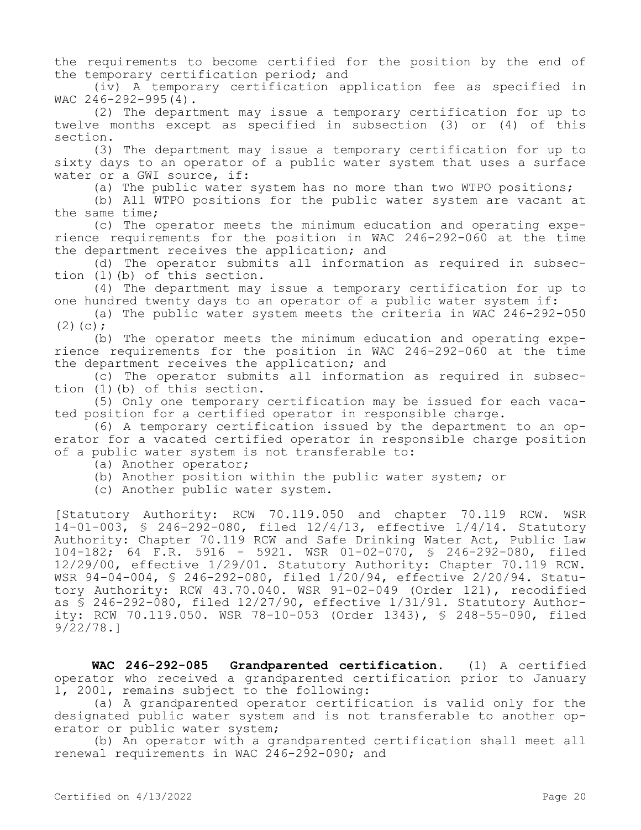the requirements to become certified for the position by the end of the temporary certification period; and

(iv) A temporary certification application fee as specified in WAC 246-292-995(4).

(2) The department may issue a temporary certification for up to twelve months except as specified in subsection (3) or (4) of this section.

(3) The department may issue a temporary certification for up to sixty days to an operator of a public water system that uses a surface water or a GWI source, if:

(a) The public water system has no more than two WTPO positions;

(b) All WTPO positions for the public water system are vacant at the same time;

(c) The operator meets the minimum education and operating experience requirements for the position in WAC 246-292-060 at the time the department receives the application; and

(d) The operator submits all information as required in subsection (1)(b) of this section.

(4) The department may issue a temporary certification for up to one hundred twenty days to an operator of a public water system if:

(a) The public water system meets the criteria in WAC 246-292-050  $(2)(c)$ ;

(b) The operator meets the minimum education and operating experience requirements for the position in WAC 246-292-060 at the time the department receives the application; and

(c) The operator submits all information as required in subsection (1)(b) of this section.

(5) Only one temporary certification may be issued for each vacated position for a certified operator in responsible charge.

(6) A temporary certification issued by the department to an operator for a vacated certified operator in responsible charge position of a public water system is not transferable to:

(a) Another operator;

- (b) Another position within the public water system; or
- (c) Another public water system.

[Statutory Authority: RCW 70.119.050 and chapter 70.119 RCW. WSR 14-01-003, § 246-292-080, filed 12/4/13, effective 1/4/14. Statutory Authority: Chapter 70.119 RCW and Safe Drinking Water Act, Public Law 104-182; 64 F.R. 5916 - 5921. WSR 01-02-070, § 246-292-080, filed 12/29/00, effective 1/29/01. Statutory Authority: Chapter 70.119 RCW. WSR 94-04-004, § 246-292-080, filed 1/20/94, effective 2/20/94. Statutory Authority: RCW 43.70.040. WSR 91-02-049 (Order 121), recodified as § 246-292-080, filed 12/27/90, effective 1/31/91. Statutory Authority: RCW 70.119.050. WSR 78-10-053 (Order 1343), § 248-55-090, filed 9/22/78.]

**WAC 246-292-085 Grandparented certification.** (1) A certified operator who received a grandparented certification prior to January 1, 2001, remains subject to the following:

(a) A grandparented operator certification is valid only for the designated public water system and is not transferable to another operator or public water system;

(b) An operator with a grandparented certification shall meet all renewal requirements in WAC 246-292-090; and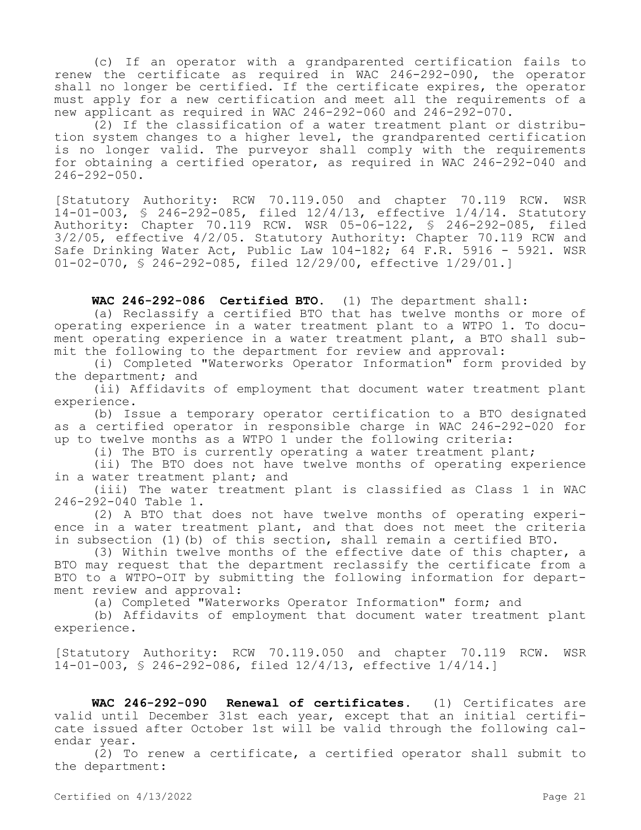(c) If an operator with a grandparented certification fails to renew the certificate as required in WAC 246-292-090, the operator shall no longer be certified. If the certificate expires, the operator must apply for a new certification and meet all the requirements of a new applicant as required in WAC 246-292-060 and 246-292-070.

(2) If the classification of a water treatment plant or distribution system changes to a higher level, the grandparented certification is no longer valid. The purveyor shall comply with the requirements for obtaining a certified operator, as required in WAC 246-292-040 and  $246 - 292 - 050$ .

[Statutory Authority: RCW 70.119.050 and chapter 70.119 RCW. WSR 14-01-003, § 246-292-085, filed 12/4/13, effective 1/4/14. Statutory Authority: Chapter 70.119 RCW. WSR 05-06-122, § 246-292-085, filed 3/2/05, effective 4/2/05. Statutory Authority: Chapter 70.119 RCW and Safe Drinking Water Act, Public Law 104-182; 64 F.R. 5916 - 5921. WSR 01-02-070, § 246-292-085, filed 12/29/00, effective 1/29/01.]

**WAC 246-292-086 Certified BTO.** (1) The department shall:

(a) Reclassify a certified BTO that has twelve months or more of operating experience in a water treatment plant to a WTPO 1. To document operating experience in a water treatment plant, a BTO shall submit the following to the department for review and approval:

(i) Completed "Waterworks Operator Information" form provided by the department; and

(ii) Affidavits of employment that document water treatment plant experience.

(b) Issue a temporary operator certification to a BTO designated as a certified operator in responsible charge in WAC 246-292-020 for up to twelve months as a WTPO 1 under the following criteria:

(i) The BTO is currently operating a water treatment plant;

(ii) The BTO does not have twelve months of operating experience in a water treatment plant; and

(iii) The water treatment plant is classified as Class 1 in WAC 246-292-040 Table 1.

(2) A BTO that does not have twelve months of operating experience in a water treatment plant, and that does not meet the criteria in subsection (1)(b) of this section, shall remain a certified BTO.

(3) Within twelve months of the effective date of this chapter, a BTO may request that the department reclassify the certificate from a BTO to a WTPO-OIT by submitting the following information for department review and approval:

(a) Completed "Waterworks Operator Information" form; and

(b) Affidavits of employment that document water treatment plant experience.

[Statutory Authority: RCW 70.119.050 and chapter 70.119 RCW. WSR 14-01-003, § 246-292-086, filed 12/4/13, effective 1/4/14.]

**WAC 246-292-090 Renewal of certificates.** (1) Certificates are valid until December 31st each year, except that an initial certificate issued after October 1st will be valid through the following calendar year.

(2) To renew a certificate, a certified operator shall submit to the department: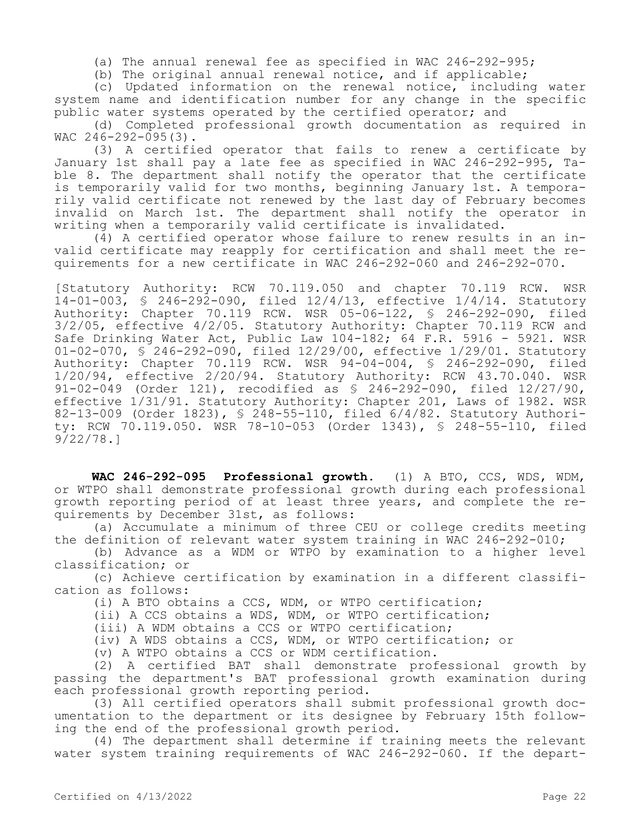(a) The annual renewal fee as specified in WAC 246-292-995;

(b) The original annual renewal notice, and if applicable;

(c) Updated information on the renewal notice, including water system name and identification number for any change in the specific public water systems operated by the certified operator; and

(d) Completed professional growth documentation as required in WAC 246-292-095(3).

(3) A certified operator that fails to renew a certificate by January 1st shall pay a late fee as specified in WAC 246-292-995, Table 8. The department shall notify the operator that the certificate is temporarily valid for two months, beginning January 1st. A temporarily valid certificate not renewed by the last day of February becomes invalid on March 1st. The department shall notify the operator in writing when a temporarily valid certificate is invalidated.

(4) A certified operator whose failure to renew results in an invalid certificate may reapply for certification and shall meet the requirements for a new certificate in WAC 246-292-060 and 246-292-070.

[Statutory Authority: RCW 70.119.050 and chapter 70.119 RCW. WSR 14-01-003, § 246-292-090, filed 12/4/13, effective 1/4/14. Statutory Authority: Chapter 70.119 RCW. WSR 05-06-122, § 246-292-090, filed 3/2/05, effective 4/2/05. Statutory Authority: Chapter 70.119 RCW and Safe Drinking Water Act, Public Law 104-182; 64 F.R. 5916 - 5921. WSR 01-02-070, § 246-292-090, filed 12/29/00, effective 1/29/01. Statutory Authority: Chapter 70.119 RCW. WSR 94-04-004, § 246-292-090, filed 1/20/94, effective 2/20/94. Statutory Authority: RCW 43.70.040. WSR 91-02-049 (Order 121), recodified as § 246-292-090, filed 12/27/90, effective 1/31/91. Statutory Authority: Chapter 201, Laws of 1982. WSR 82-13-009 (Order 1823), § 248-55-110, filed 6/4/82. Statutory Authority: RCW 70.119.050. WSR 78-10-053 (Order 1343), § 248-55-110, filed  $9/22/78.1$ 

**WAC 246-292-095 Professional growth.** (1) A BTO, CCS, WDS, WDM, or WTPO shall demonstrate professional growth during each professional growth reporting period of at least three years, and complete the requirements by December 31st, as follows:

(a) Accumulate a minimum of three CEU or college credits meeting the definition of relevant water system training in WAC 246-292-010;

(b) Advance as a WDM or WTPO by examination to a higher level classification; or

(c) Achieve certification by examination in a different classification as follows:

(i) A BTO obtains a CCS, WDM, or WTPO certification;

(ii) A CCS obtains a WDS, WDM, or WTPO certification;

(iii) A WDM obtains a CCS or WTPO certification;

(iv) A WDS obtains a CCS, WDM, or WTPO certification; or

(v) A WTPO obtains a CCS or WDM certification.

(2) A certified BAT shall demonstrate professional growth by passing the department's BAT professional growth examination during each professional growth reporting period.

(3) All certified operators shall submit professional growth documentation to the department or its designee by February 15th following the end of the professional growth period.

(4) The department shall determine if training meets the relevant water system training requirements of WAC 246-292-060. If the depart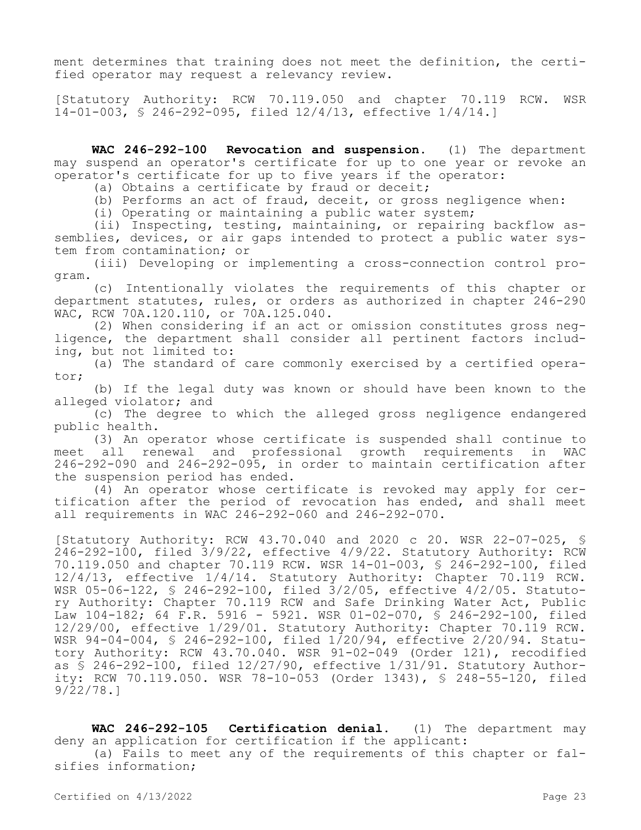ment determines that training does not meet the definition, the certified operator may request a relevancy review.

[Statutory Authority: RCW 70.119.050 and chapter 70.119 RCW. WSR 14-01-003, § 246-292-095, filed 12/4/13, effective 1/4/14.]

**WAC 246-292-100 Revocation and suspension.** (1) The department may suspend an operator's certificate for up to one year or revoke an operator's certificate for up to five years if the operator:

(a) Obtains a certificate by fraud or deceit;

(b) Performs an act of fraud, deceit, or gross negligence when:

(i) Operating or maintaining a public water system;

(ii) Inspecting, testing, maintaining, or repairing backflow assemblies, devices, or air gaps intended to protect a public water system from contamination; or

(iii) Developing or implementing a cross-connection control program.

(c) Intentionally violates the requirements of this chapter or department statutes, rules, or orders as authorized in chapter 246-290 WAC, RCW 70A.120.110, or 70A.125.040.

(2) When considering if an act or omission constitutes gross negligence, the department shall consider all pertinent factors including, but not limited to:

(a) The standard of care commonly exercised by a certified operator;

(b) If the legal duty was known or should have been known to the alleged violator; and

(c) The degree to which the alleged gross negligence endangered public health.

(3) An operator whose certificate is suspended shall continue to meet all renewal and professional growth requirements in WAC 246-292-090 and 246-292-095, in order to maintain certification after the suspension period has ended.

(4) An operator whose certificate is revoked may apply for certification after the period of revocation has ended, and shall meet all requirements in WAC 246-292-060 and 246-292-070.

[Statutory Authority: RCW 43.70.040 and 2020 c 20. WSR 22-07-025, § 246-292-100, filed 3/9/22, effective 4/9/22. Statutory Authority: RCW 70.119.050 and chapter 70.119 RCW. WSR 14-01-003, § 246-292-100, filed 12/4/13, effective 1/4/14. Statutory Authority: Chapter 70.119 RCW. WSR 05-06-122, § 246-292-100, filed 3/2/05, effective 4/2/05. Statutory Authority: Chapter 70.119 RCW and Safe Drinking Water Act, Public Law 104-182; 64 F.R. 5916 - 5921. WSR 01-02-070, § 246-292-100, filed 12/29/00, effective 1/29/01. Statutory Authority: Chapter 70.119 RCW. WSR 94-04-004, § 246-292-100, filed 1/20/94, effective 2/20/94. Statutory Authority: RCW 43.70.040. WSR 91-02-049 (Order 121), recodified as § 246-292-100, filed 12/27/90, effective 1/31/91. Statutory Authority: RCW 70.119.050. WSR 78-10-053 (Order 1343), § 248-55-120, filed 9/22/78.]

**WAC 246-292-105 Certification denial.** (1) The department may deny an application for certification if the applicant: (a) Fails to meet any of the requirements of this chapter or falsifies information;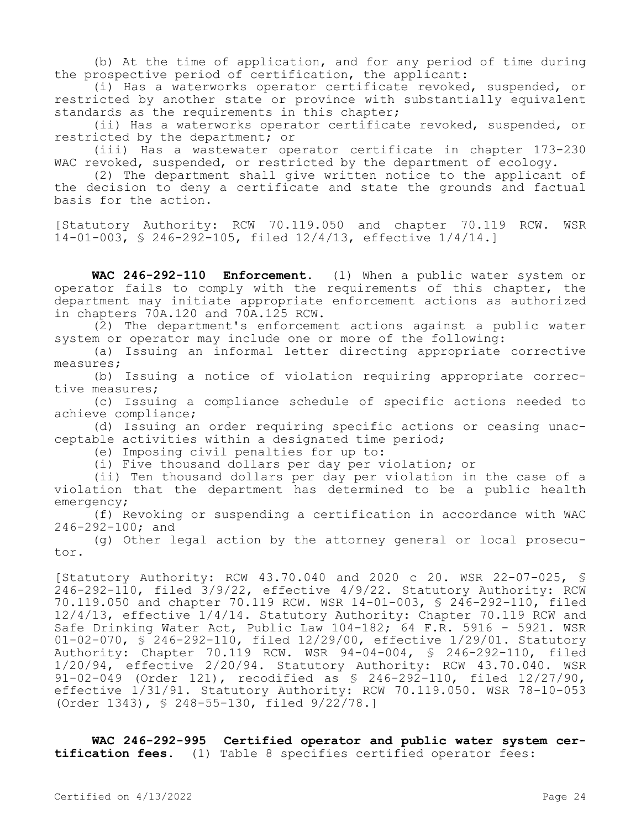(b) At the time of application, and for any period of time during the prospective period of certification, the applicant:

(i) Has a waterworks operator certificate revoked, suspended, or restricted by another state or province with substantially equivalent standards as the requirements in this chapter;

(ii) Has a waterworks operator certificate revoked, suspended, or restricted by the department; or

(iii) Has a wastewater operator certificate in chapter 173-230 WAC revoked, suspended, or restricted by the department of ecology.

(2) The department shall give written notice to the applicant of the decision to deny a certificate and state the grounds and factual basis for the action.

[Statutory Authority: RCW 70.119.050 and chapter 70.119 RCW. WSR 14-01-003, § 246-292-105, filed 12/4/13, effective 1/4/14.]

**WAC 246-292-110 Enforcement.** (1) When a public water system or operator fails to comply with the requirements of this chapter, the department may initiate appropriate enforcement actions as authorized in chapters 70A.120 and 70A.125 RCW.

(2) The department's enforcement actions against a public water system or operator may include one or more of the following:

(a) Issuing an informal letter directing appropriate corrective measures;

(b) Issuing a notice of violation requiring appropriate corrective measures;

(c) Issuing a compliance schedule of specific actions needed to achieve compliance;

(d) Issuing an order requiring specific actions or ceasing unacceptable activities within a designated time period;

(e) Imposing civil penalties for up to:

(i) Five thousand dollars per day per violation; or

(ii) Ten thousand dollars per day per violation in the case of a violation that the department has determined to be a public health emergency;

(f) Revoking or suspending a certification in accordance with WAC 246-292-100; and

(g) Other legal action by the attorney general or local prosecutor.

[Statutory Authority: RCW 43.70.040 and 2020 c 20. WSR 22-07-025, § 246-292-110, filed 3/9/22, effective 4/9/22. Statutory Authority: RCW 70.119.050 and chapter 70.119 RCW. WSR 14-01-003, § 246-292-110, filed 12/4/13, effective 1/4/14. Statutory Authority: Chapter 70.119 RCW and Safe Drinking Water Act, Public Law  $104-182$ ; 64 F.R. 5916 - 5921. WSR 01-02-070, § 246-292-110, filed 12/29/00, effective 1/29/01. Statutory Authority: Chapter 70.119 RCW. WSR 94-04-004, § 246-292-110, filed 1/20/94, effective 2/20/94. Statutory Authority: RCW 43.70.040. WSR 91-02-049 (Order 121), recodified as § 246-292-110, filed 12/27/90, effective 1/31/91. Statutory Authority: RCW 70.119.050. WSR 78-10-053 (Order 1343), § 248-55-130, filed 9/22/78.]

**WAC 246-292-995 Certified operator and public water system certification fees.** (1) Table 8 specifies certified operator fees: